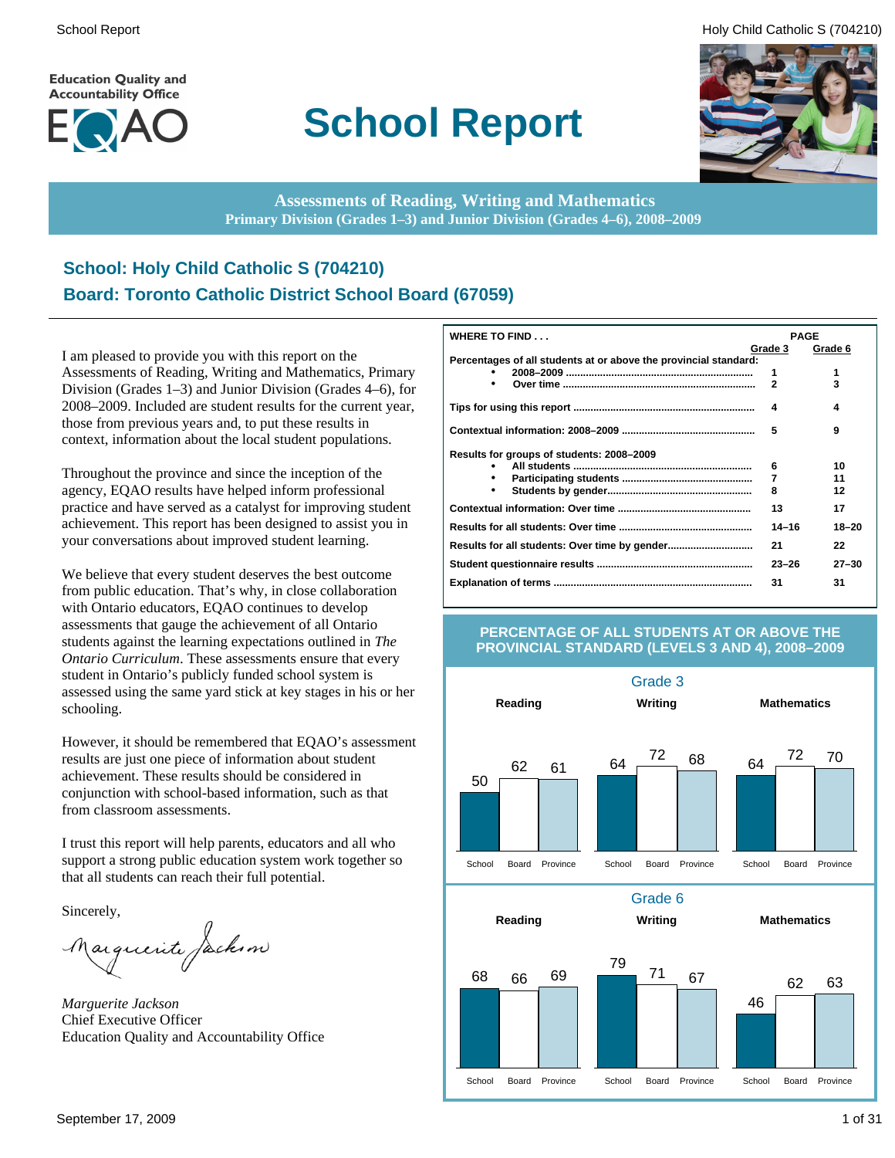**Education Quality and Accountability Office** 



# **School Report**

School Report **Example 2** and the set of the set of the set of the set of the set of the set of the set of the set of the set of the set of the set of the set of the set of the set of the set of the set of the set of the s



**Assessments of Reading, Writing and Mathematics Primary Division (Grades 1–3) and Junior Division (Grades 4–6), 2008–2009**

### **School: Holy Child Catholic S (704210) Board: Toronto Catholic District School Board (67059)**

I am pleased to provide you with this report on the Assessments of Reading, Writing and Mathematics, Primary Division (Grades 1–3) and Junior Division (Grades 4–6), for 2008–2009. Included are student results for the current year, those from previous years and, to put these results in context, information about the local student populations.

Throughout the province and since the inception of the agency, EQAO results have helped inform professional practice and have served as a catalyst for improving student achievement. This report has been designed to assist you in your conversations about improved student learning.

We believe that every student deserves the best outcome from public education. That's why, in close collaboration with Ontario educators, EQAO continues to develop assessments that gauge the achievement of all Ontario students against the learning expectations outlined in *The Ontario Curriculum*. These assessments ensure that every student in Ontario's publicly funded school system is assessed using the same yard stick at key stages in his or her schooling.

However, it should be remembered that EQAO's assessment results are just one piece of information about student achievement. These results should be considered in conjunction with school-based information, such as that from classroom assessments.

I trust this report will help parents, educators and all who support a strong public education system work together so that all students can reach their full potential.

Sincerely,

Marguerite Jackson

*Marguerite Jackson* Chief Executive Officer Education Quality and Accountability Office

| WHERE TO FIND                                                    | <b>PAGE</b>  |           |
|------------------------------------------------------------------|--------------|-----------|
|                                                                  | Grade 3      | Grade 6   |
| Percentages of all students at or above the provincial standard: |              |           |
|                                                                  | 1            | 1         |
|                                                                  | $\mathbf{2}$ | 3         |
|                                                                  | 4            | 4         |
|                                                                  | 5            | 9         |
| Results for groups of students: 2008-2009                        |              |           |
|                                                                  | 6            | 10        |
|                                                                  | 7            | 11        |
|                                                                  | 8            | 12        |
|                                                                  | 13           | 17        |
|                                                                  | $14 - 16$    | $18 - 20$ |
|                                                                  | 21           | 22        |
|                                                                  | $23 - 26$    | $27 - 30$ |
|                                                                  | 31           | 31        |

#### **PERCENTAGE OF ALL STUDENTS AT OR ABOVE THE PROVINCIAL STANDARD (LEVELS 3 AND 4), 2008–2009**

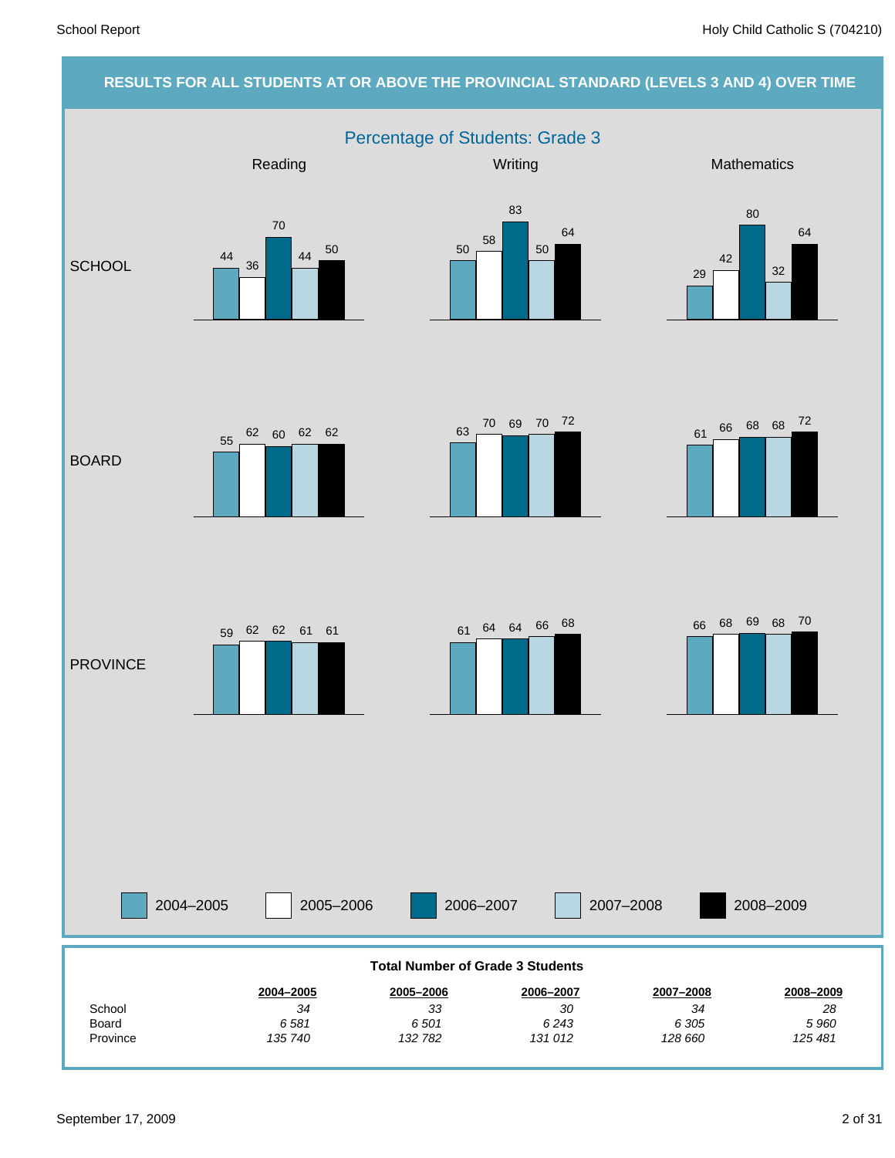#### **RESULTS FOR ALL STUDENTS AT OR ABOVE THE PROVINCIAL STANDARD (LEVELS 3 AND 4) OVER TIME**

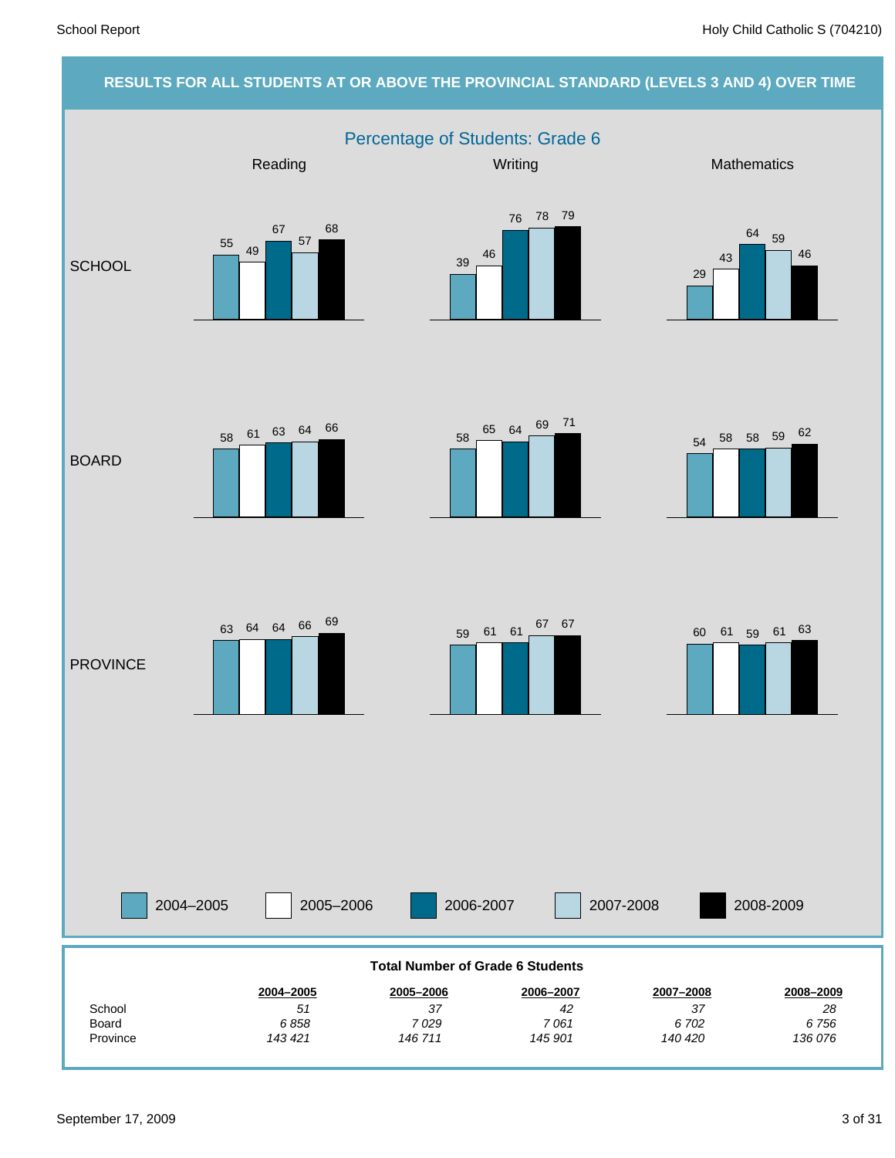#### **RESULTS FOR ALL STUDENTS AT OR ABOVE THE PROVINCIAL STANDARD (LEVELS 3 AND 4) OVER TIME** Percentage of Students: Grade 6 2004–2005 2005–2006 2006-2007 2007-2008 Reading Network Control Control Control Control Control Control Control Control Control Control Control Control Control Control Control Control Control Control Control Control Control Control Control Control Control Contro **SCHOOL** BOARD **PROVINCE** 2008-2009 *136 076 6 756 28* **2008–2009** *140 420 6 702 37* **2007–2008** *145 901 7 061 42* **2006–2007** *146 711 7 029 37* **2005–2006** *143 421 6 858 51* **2004–2005** Province Board **School Total Number of Grade 6 Students**  $\frac{55}{49}$ 67 57 68 <sup>39</sup> <sup>46</sup> 76 78 79 29 43 <sup>64</sup> <sup>59</sup> 46  $58 \begin{array}{|l|} \hline \phantom{1}65 \end{array} \begin{array}{|l|} 64 \end{array} \begin{array}{|l|} \hline \phantom{1}69 \end{array} \begin{array}{|l|} \hline \phantom{1}71 \end{array}$ <sup>58</sup> <sup>61</sup> <sup>63</sup> <sup>64</sup> <sup>66</sup> 63 64 64 66 <sup>69</sup> 59 61 61 <sup>67</sup> 67 60 61 59 61 63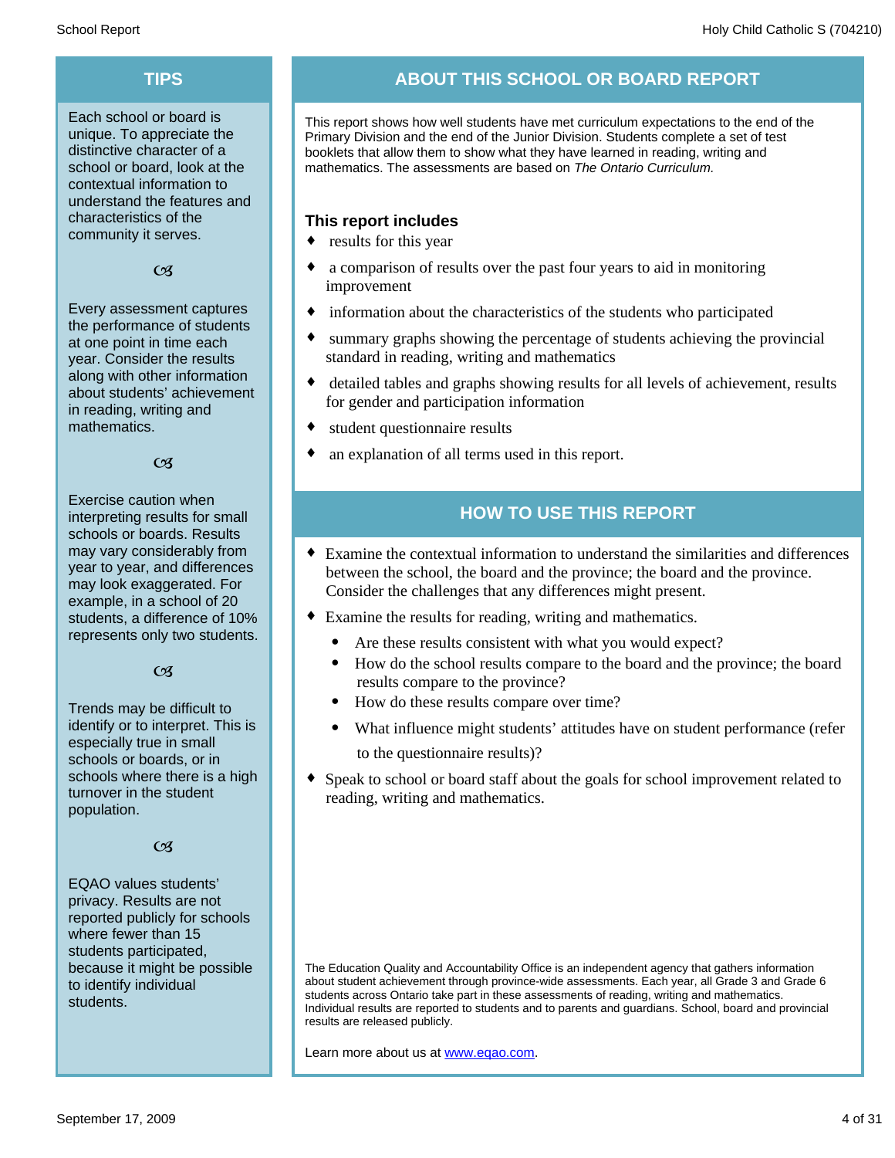Each school or board is unique. To appreciate the distinctive character of a school or board, look at the contextual information to understand the features and characteristics of the community it serves.

#### $C<sub>3</sub>$

Every assessment captures the performance of students at one point in time each year. Consider the results along with other information about students' achievement in reading, writing and mathematics.

#### $\alpha$

Exercise caution when interpreting results for small schools or boards. Results may vary considerably from year to year, and differences may look exaggerated. For example, in a school of 20 students, a difference of 10% represents only two students.

#### $C<sub>3</sub>$

Trends may be difficult to identify or to interpret. This is especially true in small schools or boards, or in schools where there is a high turnover in the student population.

#### $C<sub>3</sub>$

EQAO values students' privacy. Results are not reported publicly for schools where fewer than 15 students participated, because it might be possible to identify individual students.

### **TIPS ABOUT THIS SCHOOL OR BOARD REPORT**

This report shows how well students have met curriculum expectations to the end of the Primary Division and the end of the Junior Division. Students complete a set of test booklets that allow them to show what they have learned in reading, writing and mathematics. The assessments are based on *The Ontario Curriculum.*

#### **This report includes**

- $\bullet$  results for this year
- a comparison of results over the past four years to aid in monitoring improvement
- $\bullet$  information about the characteristics of the students who participated
- summary graphs showing the percentage of students achieving the provincial standard in reading, writing and mathematics
- detailed tables and graphs showing results for all levels of achievement, results for gender and participation information
- student questionnaire results
- an explanation of all terms used in this report.

#### **HOW TO USE THIS REPORT**

- ¨ Examine the contextual information to understand the similarities and differences between the school, the board and the province; the board and the province. Consider the challenges that any differences might present.
- Examine the results for reading, writing and mathematics.
	- Are these results consistent with what you would expect?
	- · How do the school results compare to the board and the province; the board results compare to the province?
	- · How do these results compare over time?
	- What influence might students' attitudes have on student performance (refer to the questionnaire results)?
- Speak to school or board staff about the goals for school improvement related to reading, writing and mathematics.

The Education Quality and Accountability Office is an independent agency that gathers information about student achievement through province-wide assessments. Each year, all Grade 3 and Grade 6 students across Ontario take part in these assessments of reading, writing and mathematics. Individual results are reported to students and to parents and guardians. School, board and provincial results are released publicly.

Learn more about us at www.eqao.com.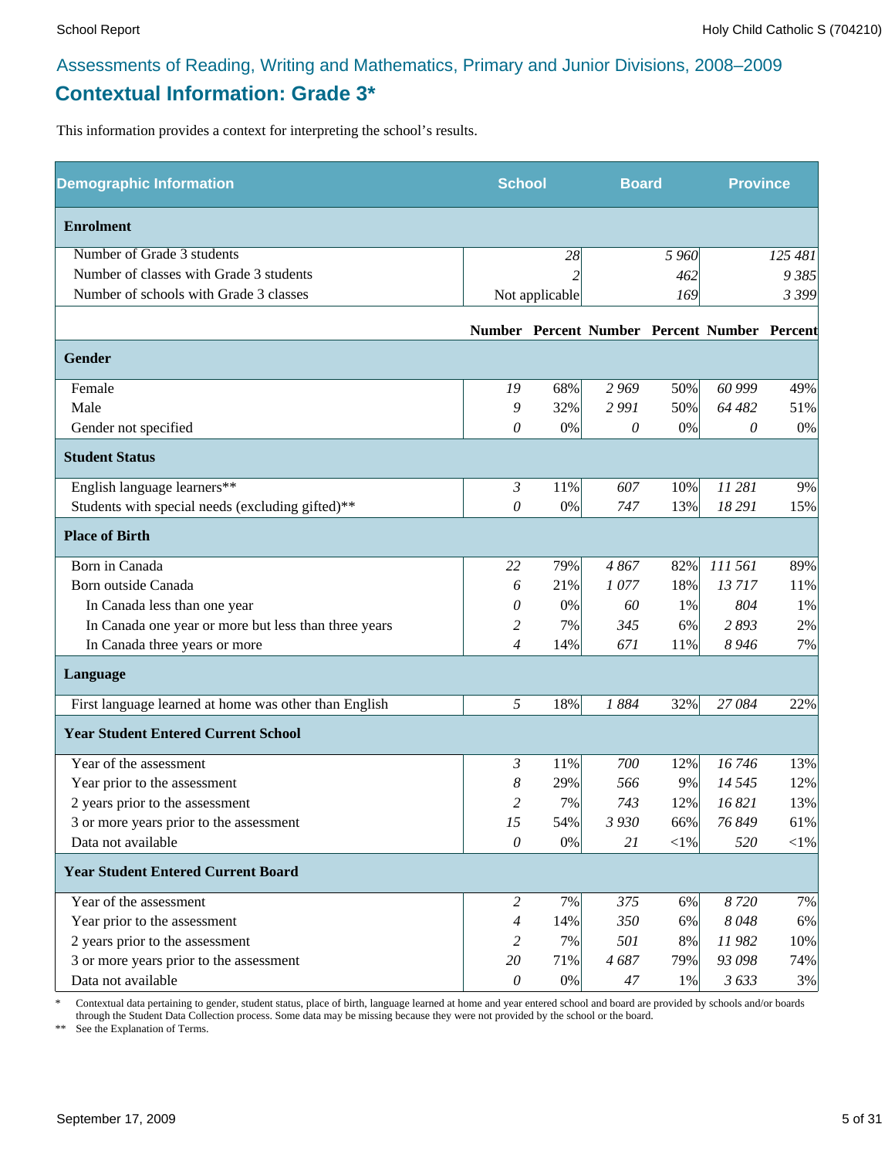### **Contextual Information: Grade 3\***

This information provides a context for interpreting the school's results.

| <b>Demographic Information</b>                        | <b>School</b>             |                | <b>Board</b> |         | <b>Province</b>                              |            |
|-------------------------------------------------------|---------------------------|----------------|--------------|---------|----------------------------------------------|------------|
| <b>Enrolment</b>                                      |                           |                |              |         |                                              |            |
| Number of Grade 3 students                            |                           | 28             |              | 5 9 6 0 |                                              | 125 481    |
| Number of classes with Grade 3 students               |                           | $\overline{c}$ |              | 462     |                                              | 9 385      |
| Number of schools with Grade 3 classes                |                           | Not applicable |              | 169     |                                              | 3 3 9 9    |
|                                                       |                           |                |              |         | Number Percent Number Percent Number Percent |            |
| Gender                                                |                           |                |              |         |                                              |            |
| Female                                                | 19                        | 68%            | 2 9 6 9      | 50%     | 60 999                                       | 49%        |
| Male                                                  | 9                         | 32%            | 2 9 9 1      | 50%     | 64 482                                       | 51%        |
| Gender not specified                                  | 0                         | 0%             | $\theta$     | $0\%$   | 0                                            | 0%         |
| <b>Student Status</b>                                 |                           |                |              |         |                                              |            |
| English language learners**                           | $\mathfrak{Z}$            | 11%            | 607          | 10%     | 11 281                                       | 9%         |
| Students with special needs (excluding gifted)**      | $\theta$                  | 0%             | 747          | 13%     | 18 29 1                                      | 15%        |
| <b>Place of Birth</b>                                 |                           |                |              |         |                                              |            |
| Born in Canada                                        | 22                        | 79%            | 4867         | 82%     | 111 561                                      | 89%        |
| Born outside Canada                                   | 6                         | 21%            | 1077         | 18%     | 13717                                        | 11%        |
| In Canada less than one year                          | 0                         | 0%             | 60           | 1%      | 804                                          | 1%         |
| In Canada one year or more but less than three years  | 2                         | 7%             | 345          | 6%      | 2893                                         | 2%         |
| In Canada three years or more                         | $\overline{4}$            | 14%            | 671          | 11%     | 8 9 4 6                                      | 7%         |
| Language                                              |                           |                |              |         |                                              |            |
| First language learned at home was other than English | 5                         | 18%            | 1884         | 32%     | 27084                                        | 22%        |
| <b>Year Student Entered Current School</b>            |                           |                |              |         |                                              |            |
| Year of the assessment                                | $\mathfrak{Z}$            | 11%            | 700          | 12%     | 16746                                        | 13%        |
| Year prior to the assessment                          | 8                         | 29%            | 566          | 9%      | 14 5 45                                      | 12%        |
| 2 years prior to the assessment                       | $\overline{c}$            | 7%             | 743          | 12%     | 16 821                                       | 13%        |
| 3 or more years prior to the assessment               | 15                        | 54%            | 3 9 3 0      | 66%     | 76 849                                       | 61%        |
| Data not available                                    | 0                         | 0%             | 21           | $<$ 1%  | 520                                          | $<\!\!1\%$ |
| <b>Year Student Entered Current Board</b>             |                           |                |              |         |                                              |            |
| Year of the assessment                                | $\overline{c}$            | 7%             | 375          | 6%      | 8720                                         | 7%         |
| Year prior to the assessment                          | $\overline{4}$            | 14%            | 350          | 6%      | 8048                                         | 6%         |
| 2 years prior to the assessment                       | 2                         | 7%             | 501          | 8%      | 11982                                        | 10%        |
| 3 or more years prior to the assessment               | 20                        | 71%            | 4687         | 79%     | 93 098                                       | 74%        |
| Data not available                                    | $\boldsymbol{\mathit{0}}$ | $0\%$          | $47\,$       | 1%      | 3633                                         | 3%         |

\* Contextual data pertaining to gender, student status, place of birth, language learned at home and year entered school and board are provided by schools and/or boards through the Student Data Collection process. Some data may be missing because they were not provided by the school or the board.

\*\* See the Explanation of Terms.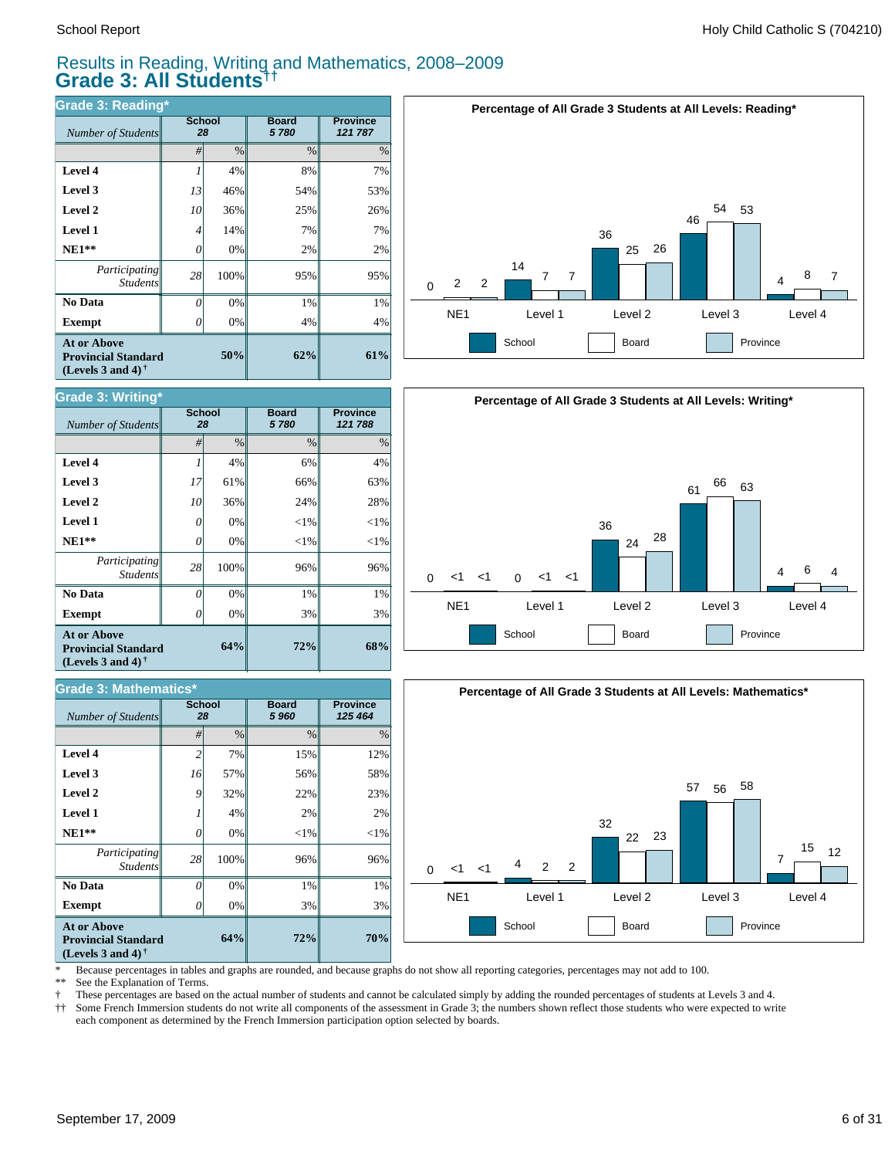*Number of Students* 

**Grade 3: Writing\***

**Exempt**  $\qquad$  0

*Number of Students 28*

**Grade 3: Mathematics\***

*Participating* Student.

 **No Data**

**At or Above Provincial Standard (Levels 3 and 4) †**

 **NE1\*\* Level 1 Level 2 Level 3 Level 4**

#### Results in Reading, Writing and Mathematics, 2008–2009 **Grade 3: All Students††**

**Board** *5 780*

**72%**

**72%**

3% 1% 96%  $<$ 1% 2% 22% 56% 15%

**Board** *5 960*

**Province** *125 464*

**64%**

**64%**

0% 0% 100% 0% 4% 32% 57% 7%

0% 0% 100% 0% 0% 36% 61% 4%

3% 1% 96%  $<$ 1%  $<$ 1% 24% 66% 6%

| <b>Grade 3: Reading*</b>                                                                             |                     |               |                      |                            |
|------------------------------------------------------------------------------------------------------|---------------------|---------------|----------------------|----------------------------|
| Number of Students                                                                                   | <b>School</b><br>28 |               | <b>Board</b><br>5780 | <b>Province</b><br>121 787 |
|                                                                                                      | #                   | $\frac{0}{0}$ | $\frac{0}{0}$        | $\%$                       |
| Level 4                                                                                              |                     | 4%            | 8%                   | 7%                         |
| Level 3                                                                                              | 13                  | 46%           | 54%                  | 53%                        |
| Level 2                                                                                              | 10                  | 36%           | 25%                  | 26%                        |
| <b>Level 1</b>                                                                                       | 4                   | 14%           | 7%                   | 7%                         |
| $NE1**$                                                                                              | 0                   | 0%            | 2%                   | 2%                         |
| Participating<br><b>Students</b>                                                                     | 28                  | 100%          | 95%                  | 95%                        |
| No Data                                                                                              | $\theta$            | 0%            | 1%                   | 1%                         |
| <b>Exempt</b>                                                                                        | Ω                   | 0%            | 4%                   | 4%                         |
| <b>At or Above</b><br><b>Provincial Standard</b><br>(Levels 3 and 4) <sup><math>\dagger</math></sup> |                     | 50%           | 62%                  | 61%                        |

**School**

**School**





![](_page_5_Figure_6.jpeg)

\* Because percentages in tables and graphs are rounded, and because graphs do not show all reporting categories, percentages may not add to 100.

3% 1% 96%

2%  $23%$ 

See the Explanation of Terms.

**Exempt** *0* 

*Participating Students*

 **No Data**

**At or Above Provincial Standard (Levels 3 and 4) †**

 **NE1\*\* Level 1 Level 2 Level 3 Level 4**

† These percentages are based on the actual number of students and cannot be calculated simply by adding the rounded percentages of students at Levels 3 and 4.

Some French Immersion students do not write all components of the assessment in Grade 3; the numbers shown reflect those students who were expected to write each component as determined by the French Immersion participation option selected by boards.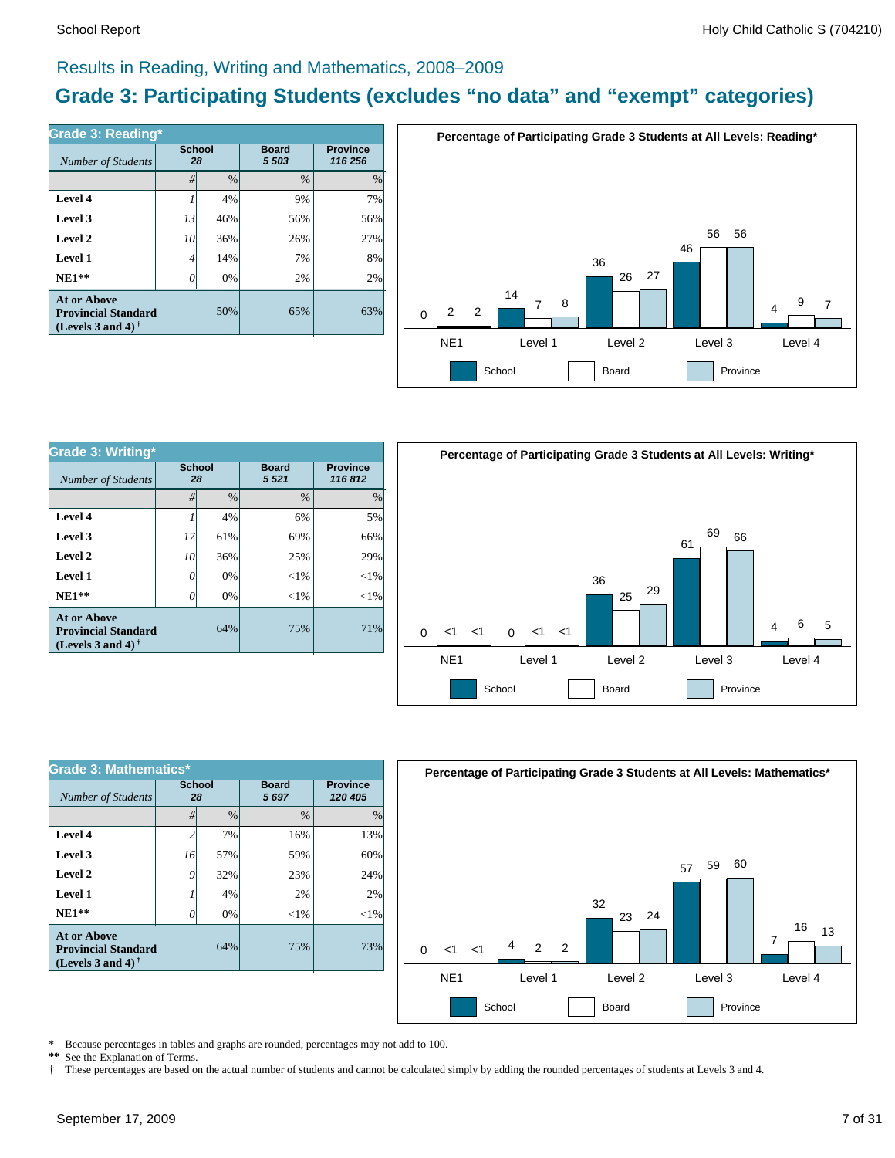#### Results in Reading, Writing and Mathematics, 2008–2009

### **Grade 3: Participating Students (excludes "no data" and "exempt" categories)**

| Grade 3: Reading*                                                              | <b>School</b> |      | <b>Board</b>  | <b>Province</b> |
|--------------------------------------------------------------------------------|---------------|------|---------------|-----------------|
| Number of Students                                                             | 28            |      | 5 5 0 3       | 116 256         |
|                                                                                | #             | $\%$ | $\frac{0}{0}$ | $\%$            |
| Level 4                                                                        |               | 4%   | 9%            | 7%              |
| Level 3                                                                        | 13            | 46%  | 56%           | 56%             |
| Level 2                                                                        | 10            | 36%  | 26%           | 27%             |
| Level 1                                                                        | 4             | 14%  | 7%            | 8%              |
| $NE1**$                                                                        |               | 0%   | 2%            | 2%              |
| <b>At or Above</b><br><b>Provincial Standard</b><br>(Levels 3 and 4) $\dagger$ |               | 50%  | 65%           | 63%             |

![](_page_6_Figure_5.jpeg)

| Grade 3: Writing*                                                                                    |                     |               |                        |                           |  |  |  |
|------------------------------------------------------------------------------------------------------|---------------------|---------------|------------------------|---------------------------|--|--|--|
| Number of Students                                                                                   | <b>School</b><br>28 |               | <b>Board</b><br>5 5 21 | <b>Province</b><br>116812 |  |  |  |
|                                                                                                      | #                   | $\frac{0}{0}$ | $\frac{0}{0}$          | $\%$                      |  |  |  |
| Level 4                                                                                              |                     | 4%            | 6%                     | 5%                        |  |  |  |
| Level 3                                                                                              | 17                  | 61%           | 69%                    | 66%                       |  |  |  |
| Level 2                                                                                              | 10                  | 36%           | 25%                    | 29%                       |  |  |  |
| Level 1                                                                                              | 0                   | 0%            | $<$ 1%                 | $<$ 1%                    |  |  |  |
| $NE1**$                                                                                              | 0                   | 0%            | $<$ 1%                 | $<$ 1%                    |  |  |  |
| <b>At or Above</b><br><b>Provincial Standard</b><br>(Levels 3 and 4) <sup><math>\dagger</math></sup> |                     | 64%           | 75%                    | 71%                       |  |  |  |

![](_page_6_Figure_7.jpeg)

| <b>Grade 3: Mathematics*</b>                                                   |                     |               |                         |                            |
|--------------------------------------------------------------------------------|---------------------|---------------|-------------------------|----------------------------|
| Number of Students                                                             | <b>School</b><br>28 |               | <b>Board</b><br>5 6 9 7 | <b>Province</b><br>120 405 |
|                                                                                | #                   | $\frac{0}{0}$ | $\frac{0}{0}$           | $\frac{0}{0}$              |
| Level 4                                                                        |                     | 7%            | 16%                     | 13%                        |
| Level 3                                                                        | 16                  | 57%           | 59%                     | 60%                        |
| Level 2                                                                        | 9                   | 32%           | 23%                     | 24%                        |
| Level 1                                                                        |                     | 4%            | 2%                      | 2%                         |
| $NE1**$                                                                        | Ω                   | 0%            | $<$ 1%                  | $<$ 1%                     |
| <b>At or Above</b><br><b>Provincial Standard</b><br>(Levels 3 and 4) $\dagger$ |                     | 64%           | 75%                     | 73%                        |

![](_page_6_Figure_9.jpeg)

\* Because percentages in tables and graphs are rounded, percentages may not add to 100.<br>\*\* See the Explanation of Terms See the Explanation of Terms.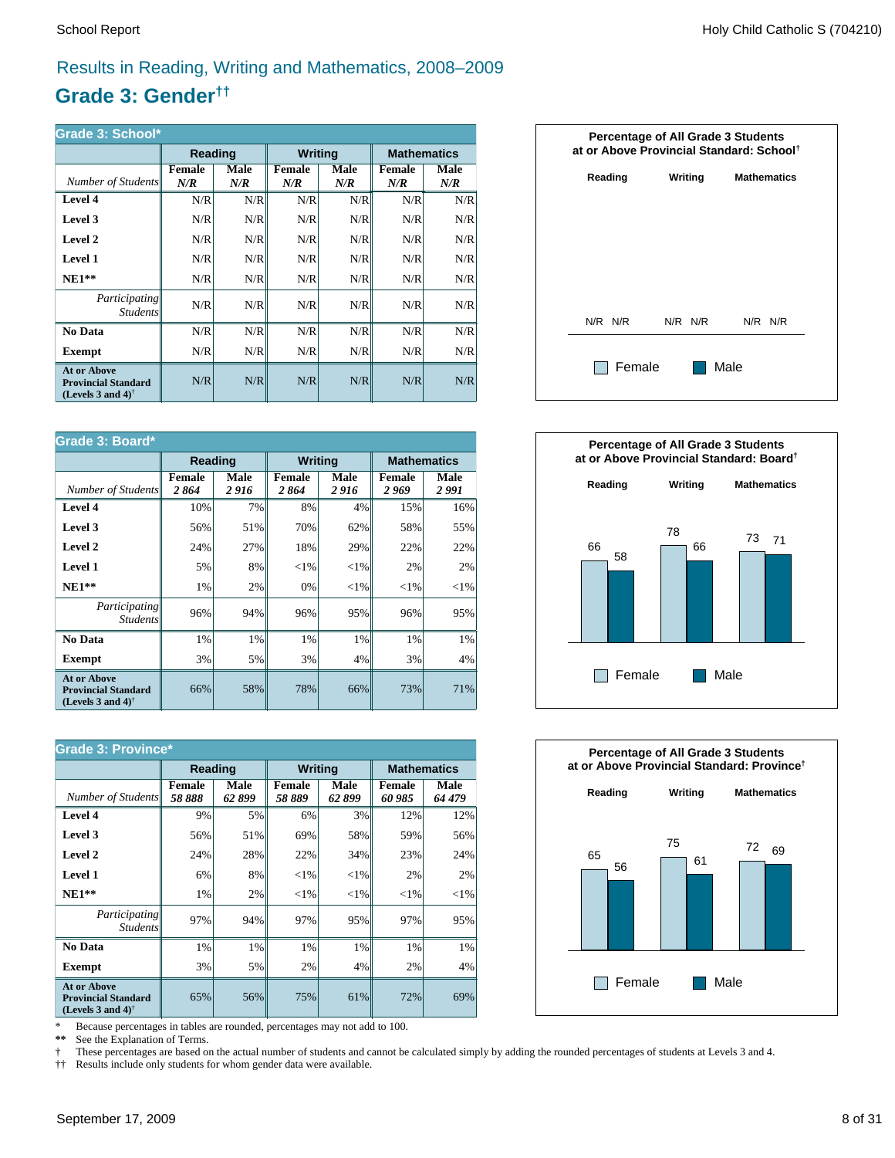### Results in Reading, Writing and Mathematics, 2008–2009

### **Grade 3: Gender††**

| Grade 3: School*                                                                                     |                      |             |                      |             |                    |             |  |
|------------------------------------------------------------------------------------------------------|----------------------|-------------|----------------------|-------------|--------------------|-------------|--|
|                                                                                                      | <b>Reading</b>       |             | <b>Writing</b>       |             | <b>Mathematics</b> |             |  |
| Number of Students                                                                                   | <b>Female</b><br>N/R | Male<br>N/R | <b>Female</b><br>N/R | Male<br>N/R | Female<br>N/R      | Male<br>N/R |  |
| Level 4                                                                                              | N/R                  | N/R         | N/R                  | N/R         | N/R                | N/R         |  |
| Level 3                                                                                              | N/R                  | N/R         | N/R                  | N/R         | N/R                | N/R         |  |
| Level 2                                                                                              | N/R                  | N/R         | N/R                  | N/R         | N/R                | N/R         |  |
| Level 1                                                                                              | N/R                  | N/R         | N/R                  | N/R         | N/R                | N/R         |  |
| $NE1**$                                                                                              | N/R                  | N/R         | N/R                  | N/R         | N/R                | N/R         |  |
| <i>Participating</i><br><i>Students</i>                                                              | N/R                  | N/R         | N/R                  | N/R         | N/R                | N/R         |  |
| No Data                                                                                              | N/R                  | N/R         | N/R                  | N/R         | N/R                | N/R         |  |
| Exempt                                                                                               | N/R                  | N/R         | N/R                  | N/R         | N/R                | N/R         |  |
| <b>At or Above</b><br><b>Provincial Standard</b><br>(Levels 3 and 4) <sup><math>\dagger</math></sup> | N/R                  | N/R         | N/R                  | N/R         | N/R                | N/R         |  |

| Grade 3: Board*                                                                |                       |                |                       |              |                       |                    |
|--------------------------------------------------------------------------------|-----------------------|----------------|-----------------------|--------------|-----------------------|--------------------|
|                                                                                | <b>Reading</b>        |                | <b>Writing</b>        |              |                       | <b>Mathematics</b> |
| Number of Students                                                             | <b>Female</b><br>2864 | Male<br>2 9 16 | <b>Female</b><br>2864 | Male<br>2916 | <b>Female</b><br>2969 | Male<br>2 991      |
| Level 4                                                                        | 10%                   | 7%             | 8%                    | 4%           | 15%                   | 16%                |
| Level 3                                                                        | 56%                   | 51%            | 70%                   | 62%          | 58%                   | 55%                |
| Level 2                                                                        | 24%                   | 27%            | 18%                   | 29%          | 22%                   | 22%                |
| <b>Level 1</b>                                                                 | 5%                    | 8%             | ${<}1\%$              | ${<}1\%$     | 2%                    | 2%                 |
| $NE1**$                                                                        | 1%                    | 2%             | 0%                    | ${<}1\%$     | ${<}1\%$              | ${<}1\%$           |
| Participating<br><i>Students</i>                                               | 96%                   | 94%            | 96%                   | 95%          | 96%                   | 95%                |
| No Data                                                                        | $1\%$                 | 1%             | 1%                    | 1%           | 1%                    | 1%                 |
| <b>Exempt</b>                                                                  | 3%                    | 5%             | 3%                    | 4%           | 3%                    | 4%                 |
| <b>At or Above</b><br><b>Provincial Standard</b><br>(Levels 3 and 4) $\dagger$ | 66%                   | 58%            | 78%                   | 66%          | 73%                   | 71%                |

|                                                                                                      | <b>Grade 3: Province*</b> |               |                         |               |                    |                |  |
|------------------------------------------------------------------------------------------------------|---------------------------|---------------|-------------------------|---------------|--------------------|----------------|--|
|                                                                                                      | <b>Reading</b>            |               | <b>Writing</b>          |               | <b>Mathematics</b> |                |  |
| Number of Students                                                                                   | <b>Female</b><br>58888    | Male<br>62899 | <b>Female</b><br>58 889 | Male<br>62899 | Female<br>60 985   | Male<br>64 479 |  |
| Level 4                                                                                              | 9%                        | 5%            | 6%                      | 3%            | 12%                | 12%            |  |
| Level 3                                                                                              | 56%                       | 51%           | 69%                     | 58%           | 59%                | 56%            |  |
| Level 2                                                                                              | 24%                       | 28%           | 22%                     | 34%           | 23%                | 24%            |  |
| Level 1                                                                                              | 6%                        | 8%            | ${<}1\%$                | ${<}1\%$      | 2%                 | 2%             |  |
| $NE1**$                                                                                              | 1%                        | 2%            | ${<}1\%$                | ${<}1\%$      | ${<}1\%$           | ${<}1\%$       |  |
| <i>Participating</i><br><i>Students</i>                                                              | 97%                       | 94%           | 97%                     | 95%           | 97%                | 95%            |  |
| No Data                                                                                              | 1%                        | 1%            | 1%                      | 1%            | 1%                 | $1\%$          |  |
| <b>Exempt</b>                                                                                        | 3%                        | 5%            | 2%                      | 4%            | 2%                 | $4\%$          |  |
| <b>At or Above</b><br><b>Provincial Standard</b><br>(Levels 3 and 4) <sup><math>\dagger</math></sup> | 65%                       | 56%           | 75%                     | 61%           | 72%                | 69%            |  |

\* Because percentages in tables are rounded, percentages may not add to 100.<br>\*\* See the Explanation of Terms.

See the Explanation of Terms.

† These percentages are based on the actual number of students and cannot be calculated simply by adding the rounded percentages of students at Levels 3 and 4.<br>†† Results include only students for whom gender data were ava

†† Results include only students for whom gender data were available.

![](_page_7_Figure_11.jpeg)

![](_page_7_Figure_12.jpeg)

![](_page_7_Figure_13.jpeg)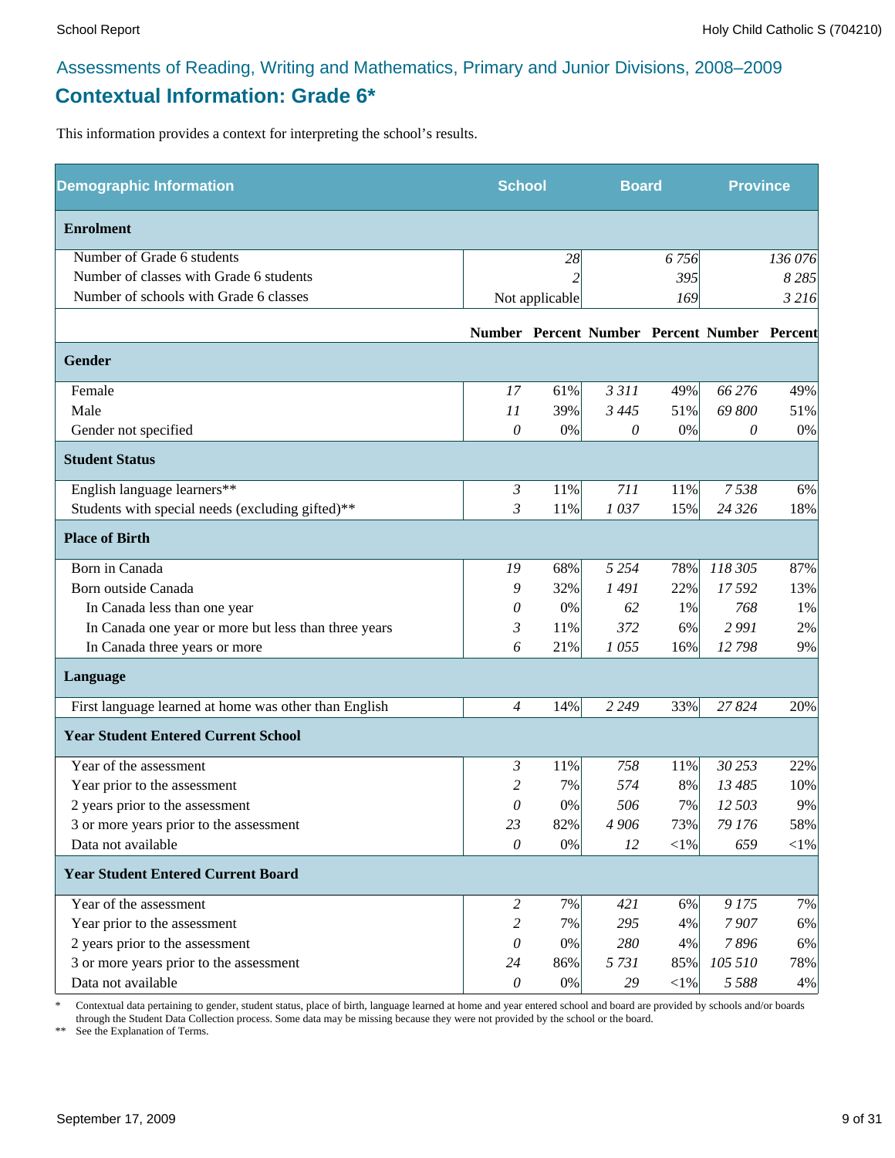### Assessments of Reading, Writing and Mathematics, Primary and Junior Divisions, 2008–2009 **Contextual Information: Grade 6\***

This information provides a context for interpreting the school's results.

| <b>Demographic Information</b>                        | <b>School</b>             |                | <b>Board</b> |          | <b>Province</b>                              |         |
|-------------------------------------------------------|---------------------------|----------------|--------------|----------|----------------------------------------------|---------|
| <b>Enrolment</b>                                      |                           |                |              |          |                                              |         |
| Number of Grade 6 students                            |                           | 28             |              | 6 7 5 6  |                                              | 136 076 |
| Number of classes with Grade 6 students               |                           | 2              |              | 395      |                                              | 8 2 8 5 |
| Number of schools with Grade 6 classes                |                           | Not applicable |              | 169      |                                              | 3 2 16  |
|                                                       |                           |                |              |          | Number Percent Number Percent Number Percent |         |
| <b>Gender</b>                                         |                           |                |              |          |                                              |         |
| Female                                                | 17                        | 61%            | 3311         | 49%      | 66 276                                       | 49%     |
| Male                                                  | 11                        | 39%            | 3 4 4 5      | 51%      | 69 800                                       | 51%     |
| Gender not specified                                  | $\mathcal O$              | 0%             | 0            | $0\%$    | 0                                            | $0\%$   |
| <b>Student Status</b>                                 |                           |                |              |          |                                              |         |
| English language learners**                           | $\mathfrak{Z}$            | 11%            | 711          | 11%      | 7538                                         | 6%      |
| Students with special needs (excluding gifted)**      | 3                         | 11%            | 1037         | 15%      | 24 3 26                                      | 18%     |
| <b>Place of Birth</b>                                 |                           |                |              |          |                                              |         |
| Born in Canada                                        | 19                        | 68%            | 5 2 5 4      | 78%      | 118 305                                      | 87%     |
| Born outside Canada                                   | 9                         | 32%            | 1491         | 22%      | 17 592                                       | 13%     |
| In Canada less than one year                          | 0                         | 0%             | 62           | 1%       | 768                                          | 1%      |
| In Canada one year or more but less than three years  | $\mathfrak{Z}$            | 11%            | 372          | 6%       | 2991                                         | 2%      |
| In Canada three years or more                         | 6                         | 21%            | 1055         | 16%      | 12798                                        | 9%      |
| Language                                              |                           |                |              |          |                                              |         |
| First language learned at home was other than English | $\overline{4}$            | 14%            | 2 2 4 9      | 33%      | 27824                                        | 20%     |
| <b>Year Student Entered Current School</b>            |                           |                |              |          |                                              |         |
| Year of the assessment                                | 3                         | 11%            | 758          | 11%      | 30 253                                       | 22%     |
| Year prior to the assessment                          | 2                         | 7%             | 574          | 8%       | 13 485                                       | 10%     |
| 2 years prior to the assessment                       | 0                         | 0%             | 506          | 7%       | 12 503                                       | 9%      |
| 3 or more years prior to the assessment               | 23                        | 82%            | 4 906        | 73%      | 79 176                                       | 58%     |
| Data not available                                    | $\theta$                  | 0%             | 12           | $<$ 1%   | 659                                          | $<$ 1%  |
| <b>Year Student Entered Current Board</b>             |                           |                |              |          |                                              |         |
| Year of the assessment                                | $\overline{c}$            | 7%             | 421          | 6%       | 9175                                         | 7%      |
| Year prior to the assessment                          | 2                         | 7%             | 295          | 4%       | 7907                                         | 6%      |
| 2 years prior to the assessment                       | 0                         | 0%             | 280          | 4%       | 7896                                         | 6%      |
| 3 or more years prior to the assessment               | 24                        | 86%            | 5731         | 85%      | 105 510                                      | 78%     |
| Data not available                                    | $\boldsymbol{\mathit{0}}$ | $0\%$          | 29           | ${<}1\%$ | 5 5 8 8                                      | 4%      |

\* Contextual data pertaining to gender, student status, place of birth, language learned at home and year entered school and board are provided by schools and/or boards through the Student Data Collection process. Some data may be missing because they were not provided by the school or the board.

\*\* See the Explanation of Terms.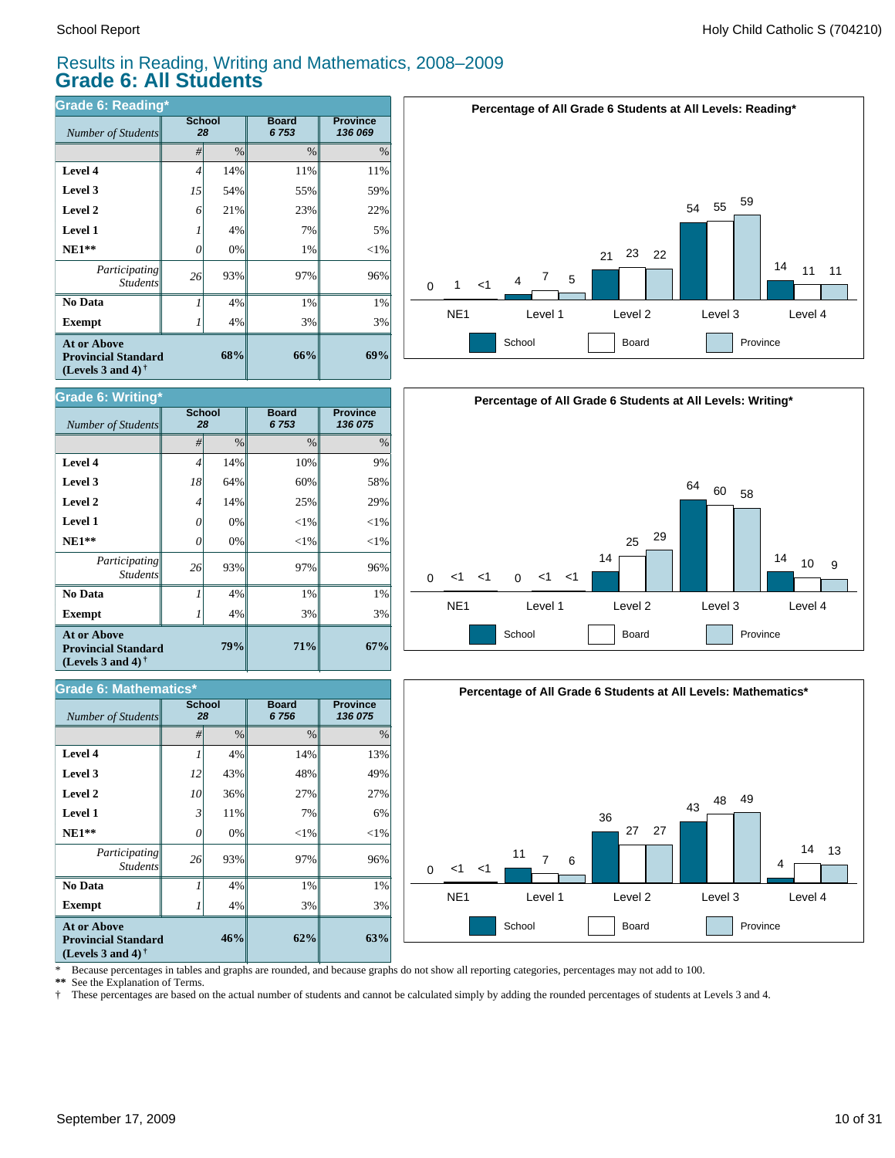#### Results in Reading, Writing and Mathematics, 2008–2009 **Grade 6: All Students**

| <b>Grade 6: Reading*</b>                                                                             |               |               |                      |                            |
|------------------------------------------------------------------------------------------------------|---------------|---------------|----------------------|----------------------------|
| Number of Students                                                                                   | <b>School</b> | 28            | <b>Board</b><br>6753 | <b>Province</b><br>136 069 |
|                                                                                                      | #             | $\frac{0}{0}$ | $\frac{0}{0}$        | $\%$                       |
| Level 4                                                                                              | 4             | 14%           | 11%                  | 11%                        |
| Level 3                                                                                              | 15            | 54%           | 55%                  | 59%                        |
| Level 2                                                                                              | 6             | 21%           | 23%                  | 22%                        |
| <b>Level 1</b>                                                                                       |               | 4%            | 7%                   | 5%                         |
| $NE1**$                                                                                              | 0             | 0%            | 1%                   | $<$ 1%                     |
| Participating<br><b>Students</b>                                                                     | 26            | 93%           | 97%                  | 96%                        |
| No Data                                                                                              |               | 4%            | 1%                   | 1%                         |
| <b>Exempt</b>                                                                                        |               | 4%            | 3%                   | 3%                         |
| <b>At or Above</b><br><b>Provincial Standard</b><br>(Levels 3 and 4) <sup><math>\dagger</math></sup> |               | 68%           | 66%                  | 69%                        |

![](_page_9_Figure_4.jpeg)

| Grade 6: Writing*                                                                                           |                     |               |                      |                            |  |  |  |
|-------------------------------------------------------------------------------------------------------------|---------------------|---------------|----------------------|----------------------------|--|--|--|
| Number of Students                                                                                          | <b>School</b><br>28 |               | <b>Board</b><br>6753 | <b>Province</b><br>136 075 |  |  |  |
|                                                                                                             | #                   | $\frac{0}{0}$ | $\%$                 | $\%$                       |  |  |  |
| Level 4                                                                                                     | $\overline{4}$      | 14%           | 10%                  | 9%                         |  |  |  |
| Level 3                                                                                                     | 18                  | 64%           | 60%                  | 58%                        |  |  |  |
| Level 2                                                                                                     | $\overline{4}$      | 14%           | 25%                  | 29%                        |  |  |  |
| Level 1                                                                                                     | 0                   | 0%            | $<$ 1%               | $<$ 1%                     |  |  |  |
| $NE1**$                                                                                                     | 0                   | 0%            | $<$ 1%               | $<$ 1%                     |  |  |  |
| <i>Participating</i><br><b>Students</b>                                                                     | 26 <sup>1</sup>     | 93%           | 97%                  | 96%                        |  |  |  |
| No Data                                                                                                     | 1                   | 4%            | 1%                   | 1%                         |  |  |  |
| <b>Exempt</b>                                                                                               |                     | 4%            | 3%                   | 3%                         |  |  |  |
| <b>At or Above</b><br>79%<br><b>Provincial Standard</b><br>(Levels 3 and 4) <sup><math>\dagger</math></sup> |                     |               | 71%                  | 67%                        |  |  |  |

| Grade 6: Mathematics*                                                                                       |                     |      |                      |                            |
|-------------------------------------------------------------------------------------------------------------|---------------------|------|----------------------|----------------------------|
| <b>Number of Students</b>                                                                                   | <b>School</b><br>28 |      | <b>Board</b><br>6756 | <b>Province</b><br>136 075 |
|                                                                                                             | #                   | $\%$ | $\%$                 | $\%$                       |
| Level 4                                                                                                     |                     | 4%   | 14%                  | 13%                        |
| Level 3                                                                                                     | 12                  | 43%  | 48%                  | 49%                        |
| Level 2                                                                                                     | 10                  | 36%  | 27%                  | 27%                        |
| <b>Level 1</b>                                                                                              | 3                   | 11%  | 7%                   | 6%                         |
| $NE1**$                                                                                                     | 0                   | 0%   | $<$ 1%               | ${<}1\%$                   |
| Participating<br><b>Students</b>                                                                            | 26                  | 93%  | 97%                  | 96%                        |
| No Data                                                                                                     |                     | 4%   | 1%                   | 1%                         |
| <b>Exempt</b>                                                                                               |                     | 4%   | 3%                   | 3%                         |
| <b>At or Above</b><br>46%<br><b>Provincial Standard</b><br>(Levels 3 and 4) <sup><math>\dagger</math></sup> |                     |      | 62%                  | 63%                        |

![](_page_9_Figure_7.jpeg)

![](_page_9_Figure_8.jpeg)

\* Because percentages in tables and graphs are rounded, and because graphs do not show all reporting categories, percentages may not add to 100.

**\*\*** See the Explanation of Terms.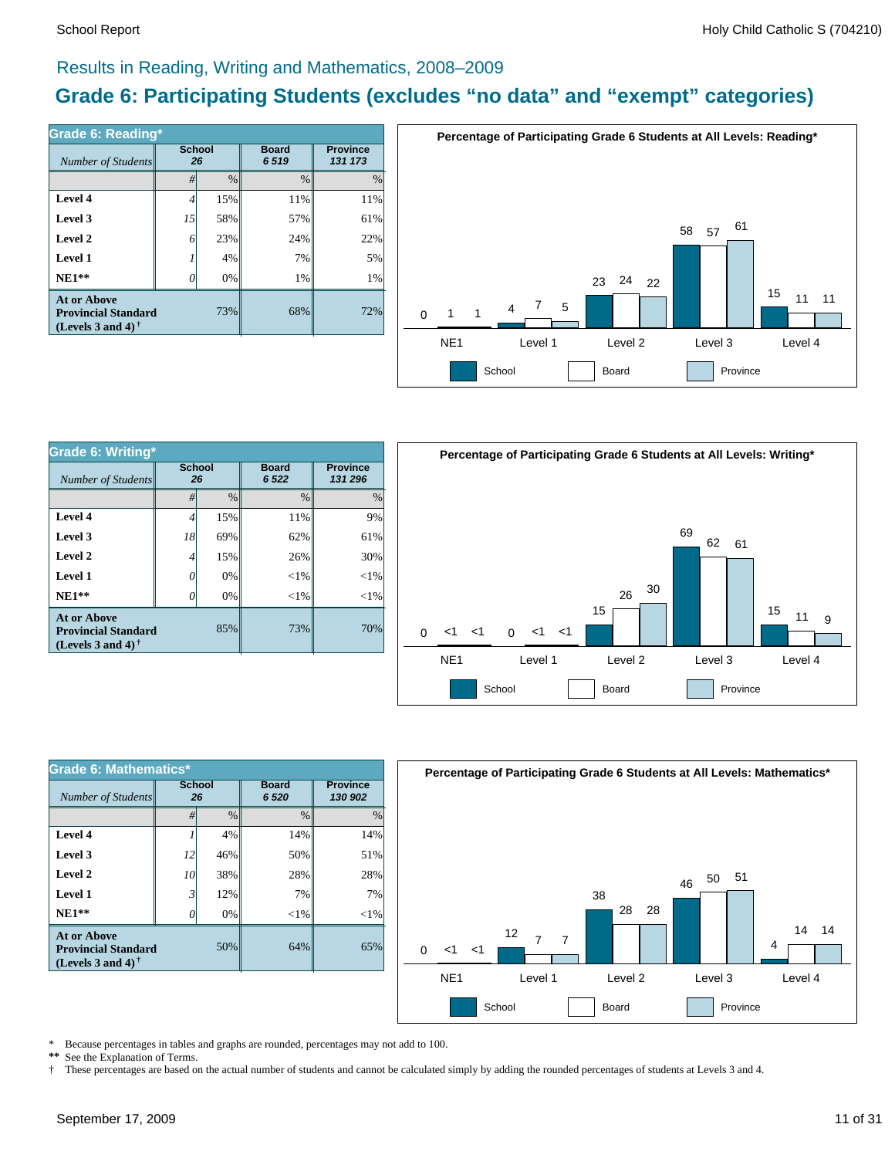#### Results in Reading, Writing and Mathematics, 2008–2009

### **Grade 6: Participating Students (excludes "no data" and "exempt" categories)**

| Grade 6: Reading*                                                              |                     |      |                      |                            |  |  |  |  |
|--------------------------------------------------------------------------------|---------------------|------|----------------------|----------------------------|--|--|--|--|
| Number of Students                                                             | <b>School</b><br>26 |      | <b>Board</b><br>6519 | <b>Province</b><br>131 173 |  |  |  |  |
|                                                                                | #                   | $\%$ | $\frac{0}{0}$        | $\frac{0}{0}$              |  |  |  |  |
| Level 4                                                                        | 4                   | 15%  | 11%                  | 11%                        |  |  |  |  |
| Level 3                                                                        | 15                  | 58%  | 57%                  | 61%                        |  |  |  |  |
| Level 2                                                                        | 6                   | 23%  | 24%                  | 22%                        |  |  |  |  |
| Level 1                                                                        |                     | 4%   | 7%                   | 5%                         |  |  |  |  |
| $NE1**$                                                                        |                     | 0%   | 1%                   | 1%                         |  |  |  |  |
| <b>At or Above</b><br><b>Provincial Standard</b><br>(Levels 3 and 4) $\dagger$ |                     | 73%  | 68%                  | 72%                        |  |  |  |  |

![](_page_10_Figure_5.jpeg)

| Grade 6: Writing*                                                              |                     |               |                        |               |  |  |  |
|--------------------------------------------------------------------------------|---------------------|---------------|------------------------|---------------|--|--|--|
| Number of Students                                                             | <b>School</b><br>26 |               | <b>Board</b><br>6 5 22 |               |  |  |  |
|                                                                                | #                   | $\frac{0}{0}$ | $\frac{0}{0}$          | $\frac{0}{0}$ |  |  |  |
| Level 4                                                                        | 4                   | 15%           | 11%                    | 9%            |  |  |  |
| Level 3                                                                        | 18                  | 69%           | 62%                    | 61%           |  |  |  |
| Level 2                                                                        | 4                   | 15%           | 26%                    | 30%           |  |  |  |
| Level 1                                                                        | 0                   | 0%            | $<$ 1%                 | $<$ 1%        |  |  |  |
| $NE1**$                                                                        |                     | 0%            | $<$ 1%                 | $<$ 1%        |  |  |  |
| At or Above<br>85%<br><b>Provincial Standard</b><br>(Levels 3 and 4) $\dagger$ |                     | 73%           | 70%                    |               |  |  |  |

![](_page_10_Figure_7.jpeg)

| Grade 6: Mathematics*                                                                 |                     |               |                        |                            |  |  |  |
|---------------------------------------------------------------------------------------|---------------------|---------------|------------------------|----------------------------|--|--|--|
| Number of Students                                                                    | <b>School</b><br>26 |               | <b>Board</b><br>6 5 20 | <b>Province</b><br>130 902 |  |  |  |
|                                                                                       | #                   | $\frac{0}{0}$ | $\frac{0}{0}$          | $\frac{0}{0}$              |  |  |  |
| Level 4                                                                               |                     | 4%            | 14%                    | 14%                        |  |  |  |
| Level 3                                                                               | 12                  | 46%           | 50%                    | 51%                        |  |  |  |
| Level 2                                                                               | 10                  | 38%           | 28%                    | 28%                        |  |  |  |
| Level 1                                                                               | 3                   | 12%           | 7%                     | 7%                         |  |  |  |
| $NE1**$                                                                               | O                   | 0%            | ${<}1\%$               | $<$ 1%                     |  |  |  |
| <b>At or Above</b><br>50%<br><b>Provincial Standard</b><br>(Levels 3 and 4) $\dagger$ |                     |               | 64%                    | 65%                        |  |  |  |

![](_page_10_Figure_9.jpeg)

\* Because percentages in tables and graphs are rounded, percentages may not add to 100.<br>\*\* See the Explanation of Terms See the Explanation of Terms.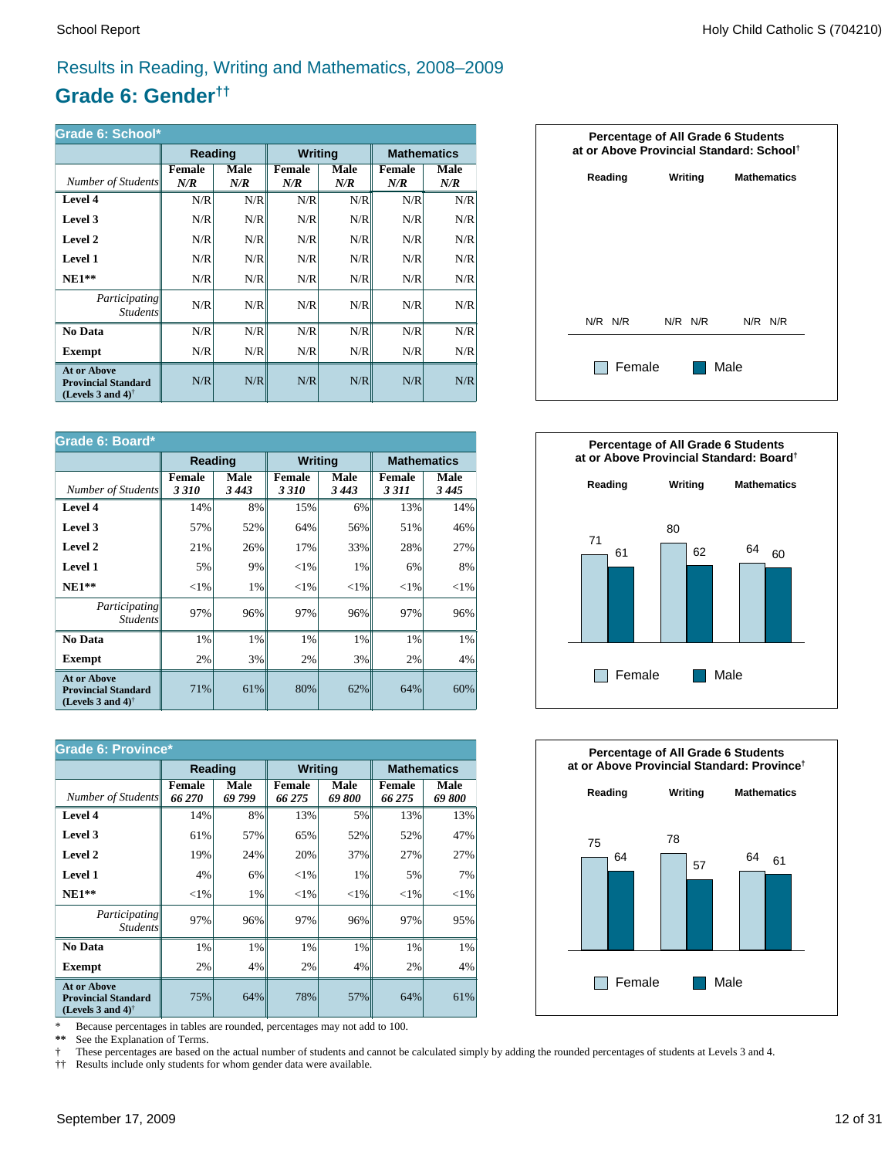### Results in Reading, Writing and Mathematics, 2008–2009

### **Grade 6: Gender††**

| Grade 6: School*                                                                                     |                      |             |                      |             |               |                    |  |
|------------------------------------------------------------------------------------------------------|----------------------|-------------|----------------------|-------------|---------------|--------------------|--|
|                                                                                                      | <b>Reading</b>       |             | <b>Writing</b>       |             |               | <b>Mathematics</b> |  |
| Number of Students                                                                                   | <b>Female</b><br>N/R | Male<br>N/R | <b>Female</b><br>N/R | Male<br>N/R | Female<br>N/R | Male<br>N/R        |  |
| Level 4                                                                                              | N/R                  | N/R         | N/R                  | N/R         | N/R           | N/R                |  |
| Level 3                                                                                              | N/R                  | N/R         | N/R                  | N/R         | N/R           | N/R                |  |
| Level 2                                                                                              | N/R                  | N/R         | N/R                  | N/R         | N/R           | N/R                |  |
| Level 1                                                                                              | N/R                  | N/R         | N/R                  | N/R         | N/R           | N/R                |  |
| $NE1**$                                                                                              | N/R                  | N/R         | N/R                  | N/R         | N/R           | N/R                |  |
| <i>Participating</i><br><i>Students</i>                                                              | N/R                  | N/R         | N/R                  | N/R         | N/R           | N/R                |  |
| No Data                                                                                              | N/R                  | N/R         | N/R                  | N/R         | N/R           | N/R                |  |
| Exempt                                                                                               | N/R                  | N/R         | N/R                  | N/R         | N/R           | N/R                |  |
| <b>At or Above</b><br><b>Provincial Standard</b><br>(Levels 3 and 4) <sup><math>\dagger</math></sup> | N/R                  | N/R         | N/R                  | N/R         | N/R           | N/R                |  |

| Grade 6: Board*                                                                |                       |                 |                       |                 |                          |                    |  |
|--------------------------------------------------------------------------------|-----------------------|-----------------|-----------------------|-----------------|--------------------------|--------------------|--|
|                                                                                | <b>Reading</b>        |                 | <b>Writing</b>        |                 |                          | <b>Mathematics</b> |  |
| Number of Students                                                             | <b>Female</b><br>3310 | Male<br>3 4 4 3 | <b>Female</b><br>3310 | Male<br>3 4 4 3 | <b>Female</b><br>3 3 1 1 | Male<br>3445       |  |
| Level 4                                                                        | 14%                   | 8%              | 15%                   | 6%              | 13%                      | 14%                |  |
| Level 3                                                                        | 57%                   | 52%             | 64%                   | 56%             | 51%                      | 46%                |  |
| Level 2                                                                        | 21%                   | 26%             | 17%                   | 33%             | 28%                      | 27%                |  |
| Level 1                                                                        | 5%                    | 9%              | ${<}1\%$              | 1%              | 6%                       | 8%                 |  |
| $NE1**$                                                                        | ${<}1\%$              | 1%              | ${<}1\%$              | ${<}1\%$        | ${<}1\%$                 | ${<}1\%$           |  |
| Participating<br><b>Students</b>                                               | 97%                   | 96%             | 97%                   | 96%             | 97%                      | 96%                |  |
| No Data                                                                        | 1%                    | 1%              | 1%                    | 1%              | 1%                       | 1%                 |  |
| Exempt                                                                         | 2%                    | 3%              | 2%                    | 3%              | 2%                       | 4%                 |  |
| <b>At or Above</b><br><b>Provincial Standard</b><br>(Levels 3 and 4) $\dagger$ | 71%                   | 61%             | 80%                   | 62%             | 64%                      | 60%                |  |

| <b>Grade 6: Province*</b>                                                                            |                  |                       |                         |                       |                    |               |  |
|------------------------------------------------------------------------------------------------------|------------------|-----------------------|-------------------------|-----------------------|--------------------|---------------|--|
|                                                                                                      | Reading          |                       | <b>Writing</b>          |                       | <b>Mathematics</b> |               |  |
| Number of Students                                                                                   | Female<br>66 270 | <b>Male</b><br>69 799 | <b>Female</b><br>66 275 | <b>Male</b><br>69 800 | Female<br>66 275   | Male<br>69800 |  |
| Level 4                                                                                              | 14%              | 8%                    | 13%                     | 5%                    | 13%                | 13%           |  |
| Level 3                                                                                              | 61%              | 57%                   | 65%                     | 52%                   | 52%                | 47%           |  |
| Level 2                                                                                              | 19%              | 24%                   | 20%                     | 37%                   | 27%                | 27%           |  |
| Level 1                                                                                              | 4%               | 6%                    | ${<}1\%$                | 1%                    | 5%                 | 7%            |  |
| $NE1**$                                                                                              | ${<}1\%$         | 1%                    | ${<}1\%$                | ${<}1\%$              | ${<}1\%$           | ${<}1\%$      |  |
| <i>Participating</i><br><i>Students</i>                                                              | 97%              | 96%                   | 97%                     | 96%                   | 97%                | 95%           |  |
| No Data                                                                                              | 1%               | 1%                    | 1%                      | 1%                    | 1%                 | 1%            |  |
| <b>Exempt</b>                                                                                        | 2%               | 4%                    | 2%                      | 4%                    | 2%                 | 4%            |  |
| <b>At or Above</b><br><b>Provincial Standard</b><br>(Levels 3 and 4) <sup><math>\dagger</math></sup> | 75%              | 64%                   | 78%                     | 57%                   | 64%                | 61%           |  |

\* Because percentages in tables are rounded, percentages may not add to 100.<br>\*\* See the Explanation of Terms.

See the Explanation of Terms.

† These percentages are based on the actual number of students and cannot be calculated simply by adding the rounded percentages of students at Levels 3 and 4.<br>†† Results include only students for whom gender data were ava

†† Results include only students for whom gender data were available.

![](_page_11_Figure_11.jpeg)

![](_page_11_Figure_12.jpeg)

![](_page_11_Figure_13.jpeg)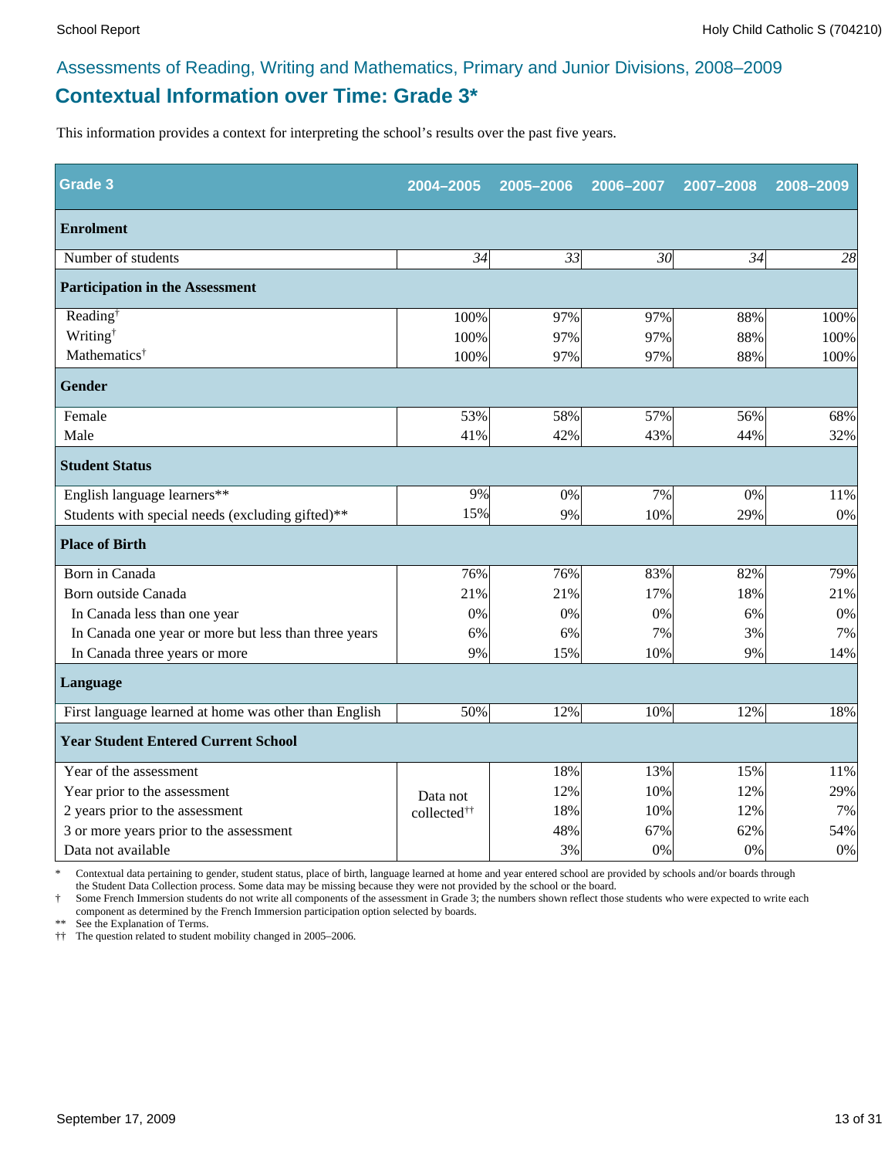### **Contextual Information over Time: Grade 3\*** Assessments of Reading, Writing and Mathematics, Primary and Junior Divisions, 2008–2009

This information provides a context for interpreting the school's results over the past five years.

| <b>Grade 3</b>                                        | 2004-2005               | 2005-2006 | 2006-2007       | 2007-2008 | 2008-2009 |
|-------------------------------------------------------|-------------------------|-----------|-----------------|-----------|-----------|
| <b>Enrolment</b>                                      |                         |           |                 |           |           |
| Number of students                                    | 34                      | 33        | 30 <sup>l</sup> | 34        | 28        |
| <b>Participation in the Assessment</b>                |                         |           |                 |           |           |
| Reading <sup>†</sup>                                  | 100%                    | 97%       | 97%             | 88%       | 100%      |
| Writing <sup>†</sup>                                  | 100%                    | 97%       | 97%             | 88%       | 100%      |
| Mathematics <sup>†</sup>                              | 100%                    | 97%       | 97%             | 88%       | 100%      |
| <b>Gender</b>                                         |                         |           |                 |           |           |
| Female                                                | 53%                     | 58%       | 57%             | 56%       | 68%       |
| Male                                                  | 41%                     | 42%       | 43%             | 44%       | 32%       |
| <b>Student Status</b>                                 |                         |           |                 |           |           |
| English language learners**                           | 9%                      | 0%        | 7%              | 0%        | 11%       |
| Students with special needs (excluding gifted)**      | 15%                     | 9%        | 10%             | 29%       | $0\%$     |
| <b>Place of Birth</b>                                 |                         |           |                 |           |           |
| Born in Canada                                        | 76%                     | 76%       | 83%             | 82%       | 79%       |
| Born outside Canada                                   | 21%                     | 21%       | 17%             | 18%       | 21%       |
| In Canada less than one year                          | 0%                      | 0%        | 0%              | 6%        | $0\%$     |
| In Canada one year or more but less than three years  | 6%                      | 6%        | 7%              | 3%        | 7%        |
| In Canada three years or more                         | 9%                      | 15%       | 10%             | 9%        | 14%       |
| Language                                              |                         |           |                 |           |           |
| First language learned at home was other than English | 50%                     | 12%       | 10%             | 12%       | 18%       |
| <b>Year Student Entered Current School</b>            |                         |           |                 |           |           |
| Year of the assessment                                |                         | 18%       | 13%             | 15%       | 11%       |
| Year prior to the assessment                          | Data not                | 12%       | 10%             | 12%       | 29%       |
| 2 years prior to the assessment                       | collected <sup>††</sup> | 18%       | 10%             | 12%       | 7%        |
| 3 or more years prior to the assessment               |                         | 48%       | 67%             | 62%       | 54%       |
| Data not available                                    |                         | 3%        | 0%              | 0%        | 0%        |

\* Contextual data pertaining to gender, student status, place of birth, language learned at home and year entered school are provided by schools and/or boards through the Student Data Collection process. Some data may be missing because they were not provided by the school or the board.

Some French Immersion students do not write all components of the assessment in Grade 3; the numbers shown reflect those students who were expected to write each component as determined by the French Immersion participation option selected by boards.

\*\* See the Explanation of Terms.

†† The question related to student mobility changed in 2005–2006.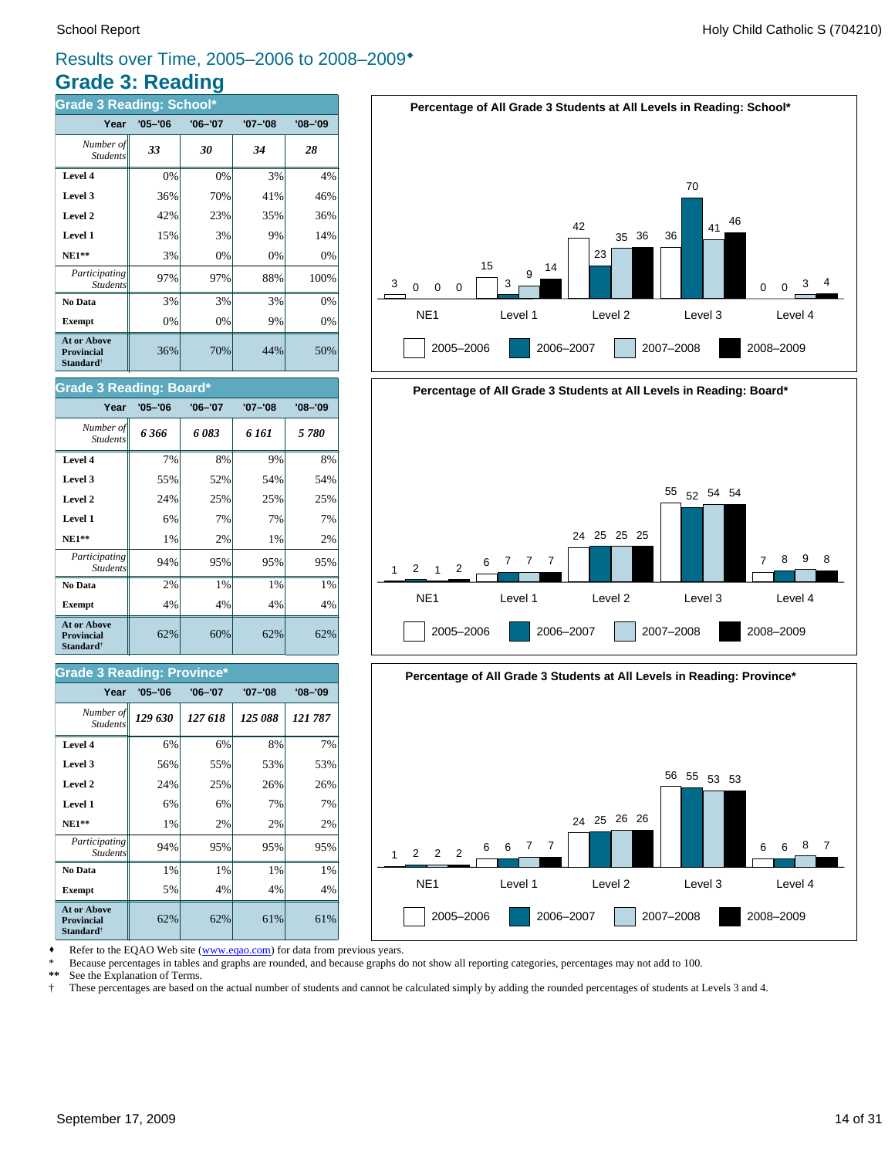### **Grade 3: Reading** Results over Time, 2005–2006 to 2008–2009\*

| <b>Grade 3 Reading: School*</b>                                         |             |             |             |             |  |  |  |  |
|-------------------------------------------------------------------------|-------------|-------------|-------------|-------------|--|--|--|--|
| Year                                                                    | $'05 - '06$ | $'06 - '07$ | $'07 - '08$ | $'08 - '09$ |  |  |  |  |
| Number of<br><b>Students</b>                                            | 33          | 30          | 34          | 28          |  |  |  |  |
| Level 4                                                                 | 0%          | 0%          | 3%          | 4%          |  |  |  |  |
| Level 3                                                                 | 36%         | 70%         | 41%         | 46%         |  |  |  |  |
| Level 2                                                                 | 42%         | 23%         | 35%         | 36%         |  |  |  |  |
| Level 1                                                                 | 15%         | 3%          | 9%          | 14%         |  |  |  |  |
| $NE1**$                                                                 | 3%          | 0%          | 0%          | 0%          |  |  |  |  |
| Participating<br><b>Students</b>                                        | 97%         | 97%         | 88%         | 100%        |  |  |  |  |
| No Data                                                                 | 3%          | 3%          | 3%          | 0%          |  |  |  |  |
| <b>Exempt</b>                                                           | 0%          | 0%          | 9%          | 0%          |  |  |  |  |
| <b>At or Above</b><br><b>Provincial</b><br><b>Standard</b> <sup>†</sup> | 36%         | 70%         | 44%         | 50%         |  |  |  |  |

![](_page_13_Figure_4.jpeg)

#### **Grade 3 Reading: Board\***

| Year                                                                    | $'05 - '06$ | $'06 - '07$ | '07-'08 | $'08 - '09$ |
|-------------------------------------------------------------------------|-------------|-------------|---------|-------------|
| Number of<br><b>Students</b>                                            | 6366        | 6083        | 6 161   | 5 780       |
| Level 4                                                                 | 7%          | 8%          | 9%      | 8%          |
| Level 3                                                                 | 55%         | 52%         | 54%     | 54%         |
| Level 2                                                                 | 24%         | 25%         | 25%     | 25%         |
| Level 1                                                                 | 6%          | 7%          | 7%      | 7%          |
| $NE1**$                                                                 | 1%          | 2%          | 1%      | 2%          |
| Participating<br><b>Students</b>                                        | 94%         | 95%         | 95%     | 95%         |
| No Data                                                                 | 2%          | 1%          | 1%      | 1%          |
| <b>Exempt</b>                                                           | 4%          | 4%          | 4%      | 4%          |
| <b>At or Above</b><br><b>Provincial</b><br><b>Standard</b> <sup>†</sup> | 62%         | 60%         | 62%     | 62%         |

#### **Grade 3 Reading: Province\***

| Year                                                                    | $'05 - '06$ | $'06 - '07$ | $'07 - '08$ | $'08 - '09$ |
|-------------------------------------------------------------------------|-------------|-------------|-------------|-------------|
| Number of<br><b>Students</b>                                            | 129 630     | 127 618     | 125 088     | 121 787     |
| Level 4                                                                 | 6%          | 6%          | 8%          | 7%          |
| Level 3                                                                 | 56%         | 55%         | 53%         | 53%         |
| Level 2                                                                 | 24%         | 25%         | 26%         | 26%         |
| Level 1                                                                 | 6%          | 6%          | 7%          | 7%          |
| $NE1**$                                                                 | 1%          | 2%          | 2%          | 2%          |
| <i>Participating</i><br><b>Students</b>                                 | 94%         | 95%         | 95%         | 95%         |
| No Data                                                                 | 1%          | 1%          | 1%          | 1%          |
| <b>Exempt</b>                                                           | 5%          | 4%          | 4%          | 4%          |
| <b>At or Above</b><br><b>Provincial</b><br><b>Standard</b> <sup>†</sup> | 62%         | 62%         | 61%         | 61%         |

![](_page_13_Figure_9.jpeg)

![](_page_13_Figure_10.jpeg)

Refer to the EQAO Web site (www.eqao.com) for data from previous years.

\* Because percentages in tables and graphs are rounded, and because graphs do not show all reporting categories, percentages may not add to 100.

See the Explanation of Terms.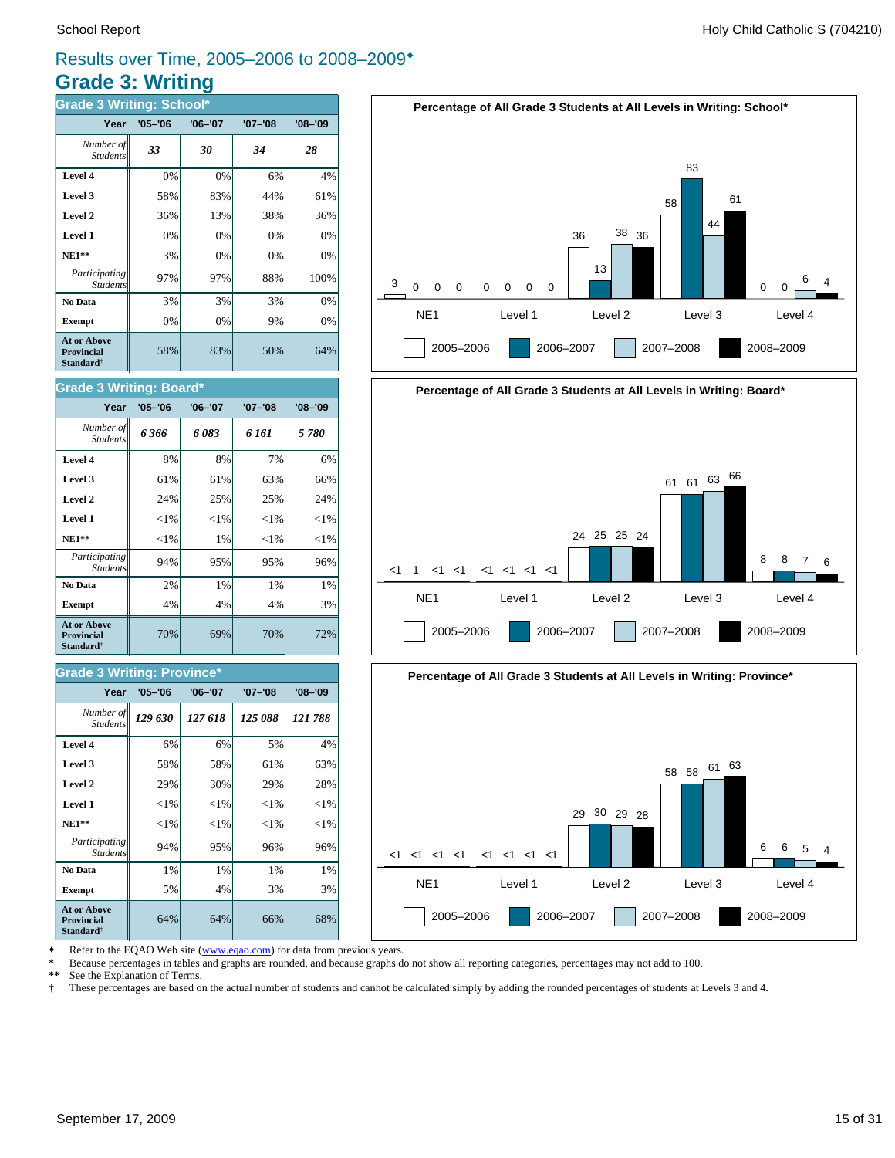### **Grade 3: Writing** Results over Time, 2005–2006 to 2008–2009\*

| <b>Grade 3 Writing: School*</b>                                         |             |             |             |             |  |  |  |  |
|-------------------------------------------------------------------------|-------------|-------------|-------------|-------------|--|--|--|--|
| Year                                                                    | $'05 - '06$ | $'06 - '07$ | $'07 - '08$ | $'08 - '09$ |  |  |  |  |
| Number of<br><b>Students</b>                                            | 33          | 30          | 34          | 28          |  |  |  |  |
| Level 4                                                                 | 0%          | 0%          | 6%          | 4%          |  |  |  |  |
| Level 3                                                                 | 58%         | 83%         | 44%         | 61%         |  |  |  |  |
| Level 2                                                                 | 36%         | 13%         | 38%         | 36%         |  |  |  |  |
| Level 1                                                                 | 0%          | 0%          | 0%          | 0%          |  |  |  |  |
| <b>NE1**</b>                                                            | 3%          | 0%          | $0\%$       | 0%          |  |  |  |  |
| Participating<br><b>Students</b>                                        | 97%         | 97%         | 88%         | 100%        |  |  |  |  |
| No Data                                                                 | 3%          | 3%          | 3%          | 0%          |  |  |  |  |
| <b>Exempt</b>                                                           | 0%          | 0%          | 9%          | 0%          |  |  |  |  |
| <b>At or Above</b><br><b>Provincial</b><br><b>Standard</b> <sup>†</sup> | 58%         | 83%         | 50%         | 64%         |  |  |  |  |

![](_page_14_Figure_4.jpeg)

## **Percentage of All Grade 3 Students at All Levels in Writing: Board\*** NE1 Level 1 Level 2 Level 3 Level 4  $<1$ 2005–2006 2006–2007 2007–2008 2008–2009 1 <1 <1 <1 <1 <1 <1 <1 24 25 25 24 <sup>61</sup> <sup>61</sup> <sup>63</sup> <sup>66</sup> 8 8 7 6

![](_page_14_Figure_6.jpeg)

Refer to the EQAO Web site (www.eqao.com) for data from previous years.

**Exempt**  $\begin{vmatrix} 5\% & 4\% \end{vmatrix}$  3% 3% **No Data**  $\begin{array}{|c|c|c|c|} \hline \textbf{No Data} & 1\% & 1\% & 1\% \hline \end{array}$ *Participating* 94% 95% 96% 96%

**NE1\*\***  $\| \le 1\% \| \le 1\% \| \le 1\% \| \le 1\%$  **Level 1** <1% <1% <1% <1% **Level 2**  $\begin{vmatrix} 2.9\% & 30\% & 29\% \end{vmatrix}$  29% 28% **Level 3**  $\begin{vmatrix} 58\% & 58\% \end{vmatrix}$  61% 63% **Level 4**  $\begin{vmatrix} 6\% & 6\% \end{vmatrix}$  6% 5% 4%

64% 64% 66% 68%

70% 69% 70% 72%

**Exempt**  $\begin{array}{|c|c|c|c|} \hline \end{array}$  4% 4% 4% 4% 3% **No Data**  $\begin{array}{|c|c|c|c|} \hline \textbf{No Data} & 2\% & 1\% & 1\% \hline \end{array}$ *Participating* 94% 95% 95% 96%

*129 630 127 618 125 088 121 788 Number of*

**Year '05–'06 '06–'07 '07–'08 '08–'09**

 **NE1\*\*** <1% 1% <1% <1% **Level 1**  $\left| \begin{array}{c} | & | & | \leq 1\% & | & | \leq 1\% & | \leq 1\% & | \end{array} \right|$ **Level 2**  $\begin{vmatrix} 24\% & 25\% \end{vmatrix}$  25% 24% **Level 3**  $\begin{vmatrix} 61\% & 61\% \end{vmatrix}$  63% 66% **Level 4** 8% 8% 7% 6% *6 366 6 083 6 161 5 780 Number of*

**Year '05–'06 '06–'07 '07–'08 '08–'09**

Students

**At or Above Provincial Standard**†

Student.

**Grade 3 Writing: Board\***

\* Because percentages in tables and graphs are rounded, and because graphs do not show all reporting categories, percentages may not add to 100.

**\*\*** See the Explanation of Terms.

*Student* 

**At or Above Provincial Standard**†

*Students*

**Grade 3 Writing: Province\***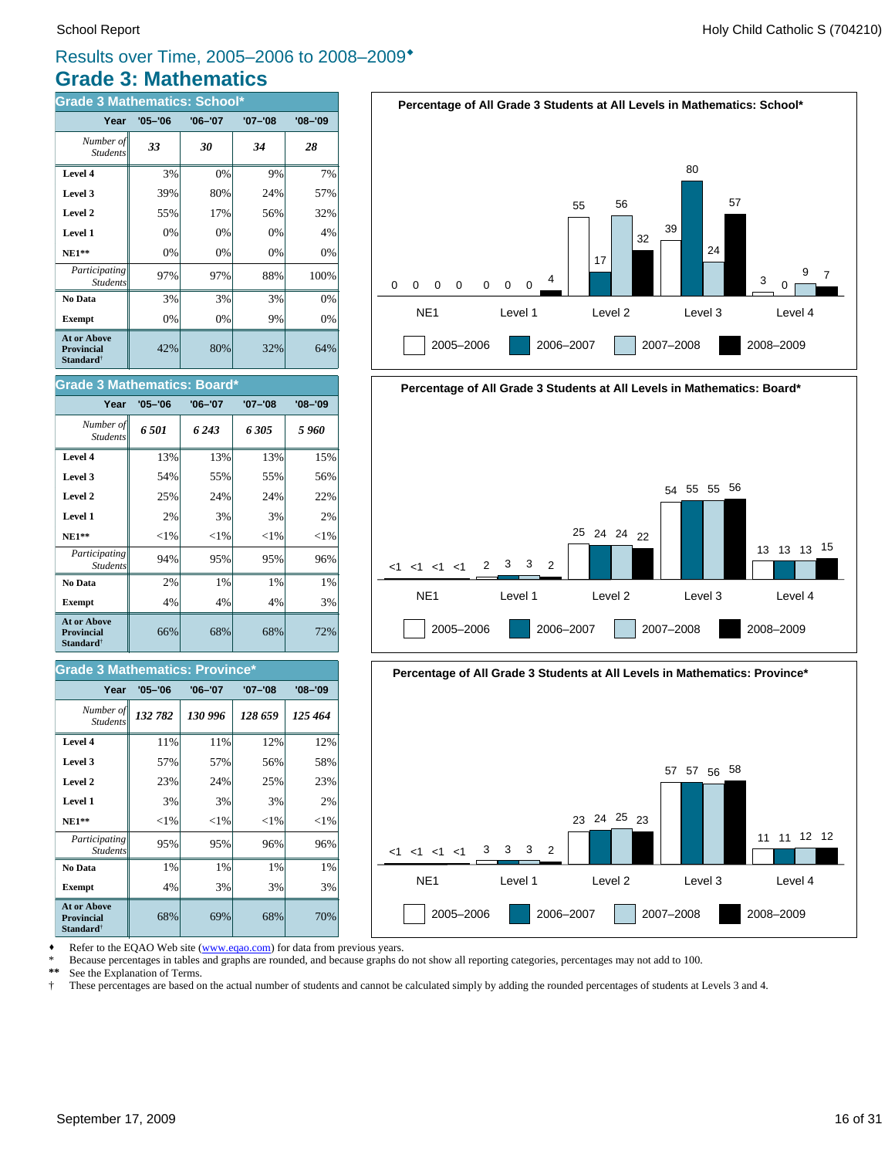### **Grade 3: Mathematics** Results over Time, 2005–2006 to 2008–2009\*

| <b>Grade 3 Mathematics: School*</b>                                     |             |             |         |             |  |
|-------------------------------------------------------------------------|-------------|-------------|---------|-------------|--|
| Year                                                                    | $'05 - '06$ | $'06 - '07$ | '07-'08 | $'08 - '09$ |  |
| Number of<br><b>Students</b>                                            | 33          | 30          | 34      | 28          |  |
| Level 4                                                                 | 3%          | 0%          | 9%      | 7%          |  |
| Level 3                                                                 | 39%         | 80%         | 24%     | 57%         |  |
| Level 2                                                                 | 55%         | 17%         | 56%     | 32%         |  |
| Level 1                                                                 | 0%          | 0%          | 0%      | 4%          |  |
| $NE1**$                                                                 | 0%          | 0%          | 0%      | 0%          |  |
| Participating<br><b>Students</b>                                        | 97%         | 97%         | 88%     | 100%        |  |
| No Data                                                                 | 3%          | 3%          | 3%      | 0%          |  |
| <b>Exempt</b>                                                           | 0%          | 0%          | 9%      | 0%          |  |
| <b>At or Above</b><br><b>Provincial</b><br><b>Standard</b> <sup>†</sup> | 42%         | 80%         | 32%     | 64%         |  |

| <b>Grade 3 Mathematics: Board*</b>                                      |             |             |             |             |  |  |
|-------------------------------------------------------------------------|-------------|-------------|-------------|-------------|--|--|
| Year                                                                    | $'05 - '06$ | $'06 - '07$ | $'07 - '08$ | $'08 - '09$ |  |  |
| Number of<br><b>Students</b>                                            | 6.501       | 6 243       | 6305        | 5 960       |  |  |
| Level 4                                                                 | 13%         | 13%         | 13%         | 15%         |  |  |
| Level 3                                                                 | 54%         | 55%         | 55%         | 56%         |  |  |
| Level 2                                                                 | 25%         | 24%         | 24%         | 22%         |  |  |
| Level 1                                                                 | 2%          | 3%          | 3%          | 2%          |  |  |
| $NE1**$                                                                 | ${<}1\%$    | $<$ 1%      | $<$ 1%      | ${<}1\%$    |  |  |
| Participating<br><b>Students</b>                                        | 94%         | 95%         | 95%         | 96%         |  |  |
| No Data                                                                 | 2%          | 1%          | 1%          | 1%          |  |  |
| <b>Exempt</b>                                                           | 4%          | 4%          | 4%          | 3%          |  |  |
| <b>At or Above</b><br><b>Provincial</b><br><b>Standard</b> <sup>†</sup> | 66%         | 68%         | 68%         | 72%         |  |  |

#### **Grade 3 Mathematics: Province\***

| Year                                                             | $'05 - '06$ | $'06 - '07$ | '07-'08  | $'08 - '09$ |
|------------------------------------------------------------------|-------------|-------------|----------|-------------|
| Number of<br><b>Students</b>                                     | 132 782     | 130 996     | 128 659  | 125 464     |
| Level 4                                                          | 11%         | 11%         | 12%      | 12%         |
| Level 3                                                          | 57%         | 57%         | 56%      | 58%         |
| Level 2                                                          | 23%         | 24%         | 25%      | 23%         |
| Level 1                                                          | 3%          | 3%          | 3%       | 2%          |
| $NE1**$                                                          | ${<}1\%$    | ${<}1\%$    | ${<}1\%$ | ${<}1\%$    |
| Participating<br><b>Students</b>                                 | 95%         | 95%         | 96%      | 96%         |
| No Data                                                          | 1%          | 1%          | 1%       | 1%          |
| <b>Exempt</b>                                                    | 4%          | 3%          | 3%       | 3%          |
| At or Above<br><b>Provincial</b><br><b>Standard</b> <sup>†</sup> | 68%         | 69%         | 68%      | 70%         |

![](_page_15_Figure_7.jpeg)

![](_page_15_Figure_8.jpeg)

![](_page_15_Figure_9.jpeg)

Refer to the EQAO Web site (www.eqao.com) for data from previous years.

\* Because percentages in tables and graphs are rounded, and because graphs do not show all reporting categories, percentages may not add to 100.<br>\*\* See the Explanation of Terms

\*\* See the Explanation of Terms.<br><sup>†</sup> These percentages are based on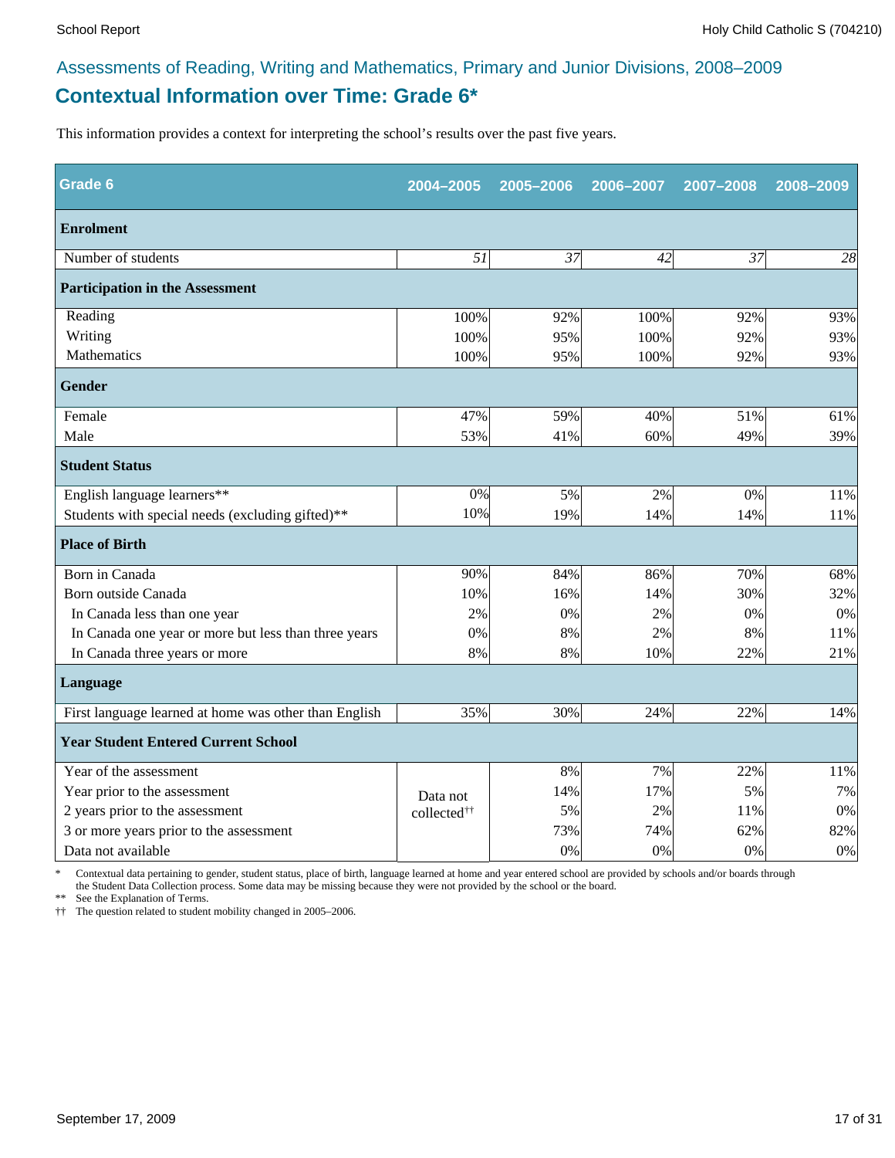### **Contextual Information over Time: Grade 6\*** Assessments of Reading, Writing and Mathematics, Primary and Junior Divisions, 2008–2009

This information provides a context for interpreting the school's results over the past five years.

| Grade 6                                               | 2004-2005               | 2005-2006 | 2006-2007 | 2007-2008 | 2008-2009 |  |  |
|-------------------------------------------------------|-------------------------|-----------|-----------|-----------|-----------|--|--|
| <b>Enrolment</b>                                      |                         |           |           |           |           |  |  |
| Number of students                                    | 51                      | 37        | 42        | 37        | 28        |  |  |
| <b>Participation in the Assessment</b>                |                         |           |           |           |           |  |  |
| Reading                                               | 100%                    | 92%       | 100%      | 92%       | 93%       |  |  |
| Writing                                               | 100%                    | 95%       | 100%      | 92%       | 93%       |  |  |
| Mathematics                                           | 100%                    | 95%       | 100%      | 92%       | 93%       |  |  |
| <b>Gender</b>                                         |                         |           |           |           |           |  |  |
| Female                                                | 47%                     | 59%       | 40%       | 51%       | 61%       |  |  |
| Male                                                  | 53%                     | 41%       | 60%       | 49%       | 39%       |  |  |
| <b>Student Status</b>                                 |                         |           |           |           |           |  |  |
| English language learners**                           | 0%                      | 5%        | 2%        | 0%        | 11%       |  |  |
| Students with special needs (excluding gifted)**      | 10%                     | 19%       | 14%       | 14%       | 11%       |  |  |
| <b>Place of Birth</b>                                 |                         |           |           |           |           |  |  |
| Born in Canada                                        | 90%                     | 84%       | 86%       | 70%       | 68%       |  |  |
| Born outside Canada                                   | 10%                     | 16%       | 14%       | 30%       | 32%       |  |  |
| In Canada less than one year                          | 2%                      | 0%        | 2%        | 0%        | $0\%$     |  |  |
| In Canada one year or more but less than three years  | 0%                      | 8%        | 2%        | 8%        | 11%       |  |  |
| In Canada three years or more                         | 8%                      | 8%        | 10%       | 22%       | 21%       |  |  |
| Language                                              |                         |           |           |           |           |  |  |
| First language learned at home was other than English | 35%                     | 30%       | 24%       | 22%       | 14%       |  |  |
| <b>Year Student Entered Current School</b>            |                         |           |           |           |           |  |  |
| Year of the assessment                                |                         | 8%        | 7%        | 22%       | 11%       |  |  |
| Year prior to the assessment                          | Data not                | 14%       | 17%       | 5%        | 7%        |  |  |
| 2 years prior to the assessment                       | collected <sup>††</sup> | 5%        | 2%        | 11%       | $0\%$     |  |  |
| 3 or more years prior to the assessment               |                         | 73%       | 74%       | 62%       | 82%       |  |  |
| Data not available                                    |                         | 0%        | 0%        | 0%        | 0%        |  |  |

\* Contextual data pertaining to gender, student status, place of birth, language learned at home and year entered school are provided by schools and/or boards through the Student Data Collection process. Some data may be missing because they were not provided by the school or the board.

\*\* See the Explanation of Terms.

†† The question related to student mobility changed in 2005–2006.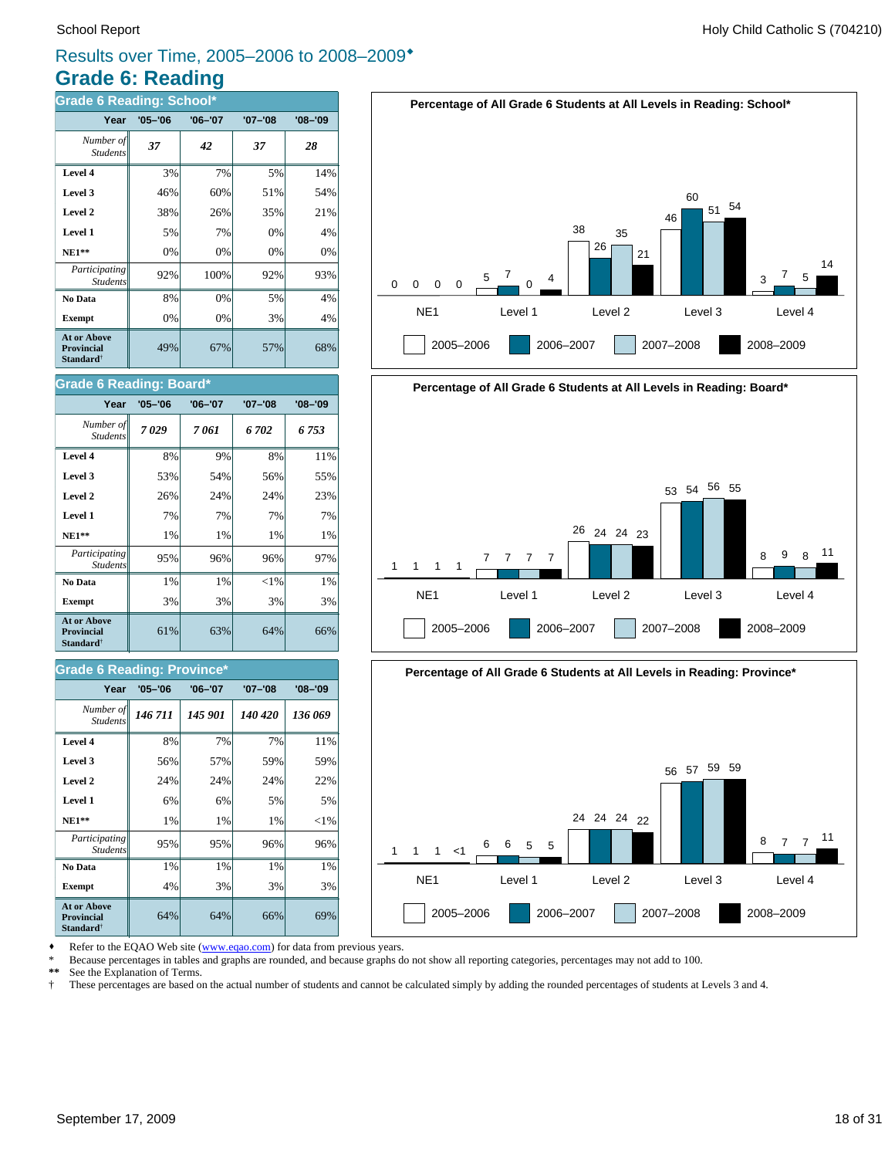### **Grade 6: Reading** Results over Time, 2005–2006 to 2008–2009\*

| Grade 6 Reading: School*                                                |             |             |             |             |  |
|-------------------------------------------------------------------------|-------------|-------------|-------------|-------------|--|
| Year                                                                    | $'05 - '06$ | $'06 - '07$ | $'07 - '08$ | $'08 - '09$ |  |
| Number of<br><b>Students</b>                                            | 37          | 42          | 37          | 28          |  |
| Level 4                                                                 | 3%          | 7%          | 5%          | 14%         |  |
| Level 3                                                                 | 46%         | 60%         | 51%         | 54%         |  |
| Level 2                                                                 | 38%         | 26%         | 35%         | 21%         |  |
| Level 1                                                                 | 5%          | 7%          | 0%          | 4%          |  |
| $NE1**$                                                                 | 0%          | 0%          | 0%          | 0%          |  |
| Participating<br><b>Students</b>                                        | 92%         | 100%        | 92%         | 93%         |  |
| No Data                                                                 | 8%          | 0%          | 5%          | 4%          |  |
| <b>Exempt</b>                                                           | 0%          | 0%          | 3%          | 4%          |  |
| <b>At or Above</b><br><b>Provincial</b><br><b>Standard</b> <sup>†</sup> | 49%         | 67%         | 57%         | 68%         |  |

#### **Grade 6 Reading: Board\***

| Year                                                                    | $'05 - '06$ | $'06 - '07$ | $'07 - '08$ | $'08 - '09$ |
|-------------------------------------------------------------------------|-------------|-------------|-------------|-------------|
| Number of<br><b>Students</b>                                            | 7029        | 7 061       | 6 702       | 6 753       |
| Level 4                                                                 | 8%          | 9%          | 8%          | 11%         |
| Level 3                                                                 | 53%         | 54%         | 56%         | 55%         |
| Level 2                                                                 | 26%         | 24%         | 24%         | 23%         |
| Level 1                                                                 | 7%          | 7%          | 7%          | 7%          |
| $NE1**$                                                                 | 1%          | 1%          | 1%          | 1%          |
| Participating<br><b>Students</b>                                        | 95%         | 96%         | 96%         | 97%         |
| No Data                                                                 | 1%          | 1%          | ${<}1\%$    | 1%          |
| <b>Exempt</b>                                                           | 3%          | 3%          | 3%          | 3%          |
| <b>At or Above</b><br><b>Provincial</b><br><b>Standard</b> <sup>†</sup> | 61%         | 63%         | 64%         | 66%         |

#### **Grade 6 Reading: Province\***

| Year                                                                    | $'05 - '06$ | $'06 - '07$ | $'07 - '08$ | $'08 - '09$ |
|-------------------------------------------------------------------------|-------------|-------------|-------------|-------------|
| Number of<br><b>Students</b>                                            | 146 711     | 145 901     | 140 420     | 136 069     |
| Level 4                                                                 | 8%          | 7%          | 7%          | 11%         |
| Level 3                                                                 | 56%         | 57%         | 59%         | 59%         |
| Level 2                                                                 | 24%         | 24%         | 24%         | 22%         |
| Level 1                                                                 | 6%          | 6%          | 5%          | 5%          |
| $NE1**$                                                                 | 1%          | 1%          | 1%          | ${<}1\%$    |
| Participating<br><b>Students</b>                                        | 95%         | 95%         | 96%         | 96%         |
| No Data                                                                 | 1%          | 1%          | 1%          | 1%          |
| <b>Exempt</b>                                                           | 4%          | 3%          | 3%          | 3%          |
| <b>At or Above</b><br><b>Provincial</b><br><b>Standard</b> <sup>†</sup> | 64%         | 64%         | 66%         | 69%         |

![](_page_17_Figure_8.jpeg)

![](_page_17_Figure_9.jpeg)

![](_page_17_Figure_10.jpeg)

Refer to the EQAO Web site (www.eqao.com) for data from previous years.

\* Because percentages in tables and graphs are rounded, and because graphs do not show all reporting categories, percentages may not add to 100.

**\*\*** See the Explanation of Terms.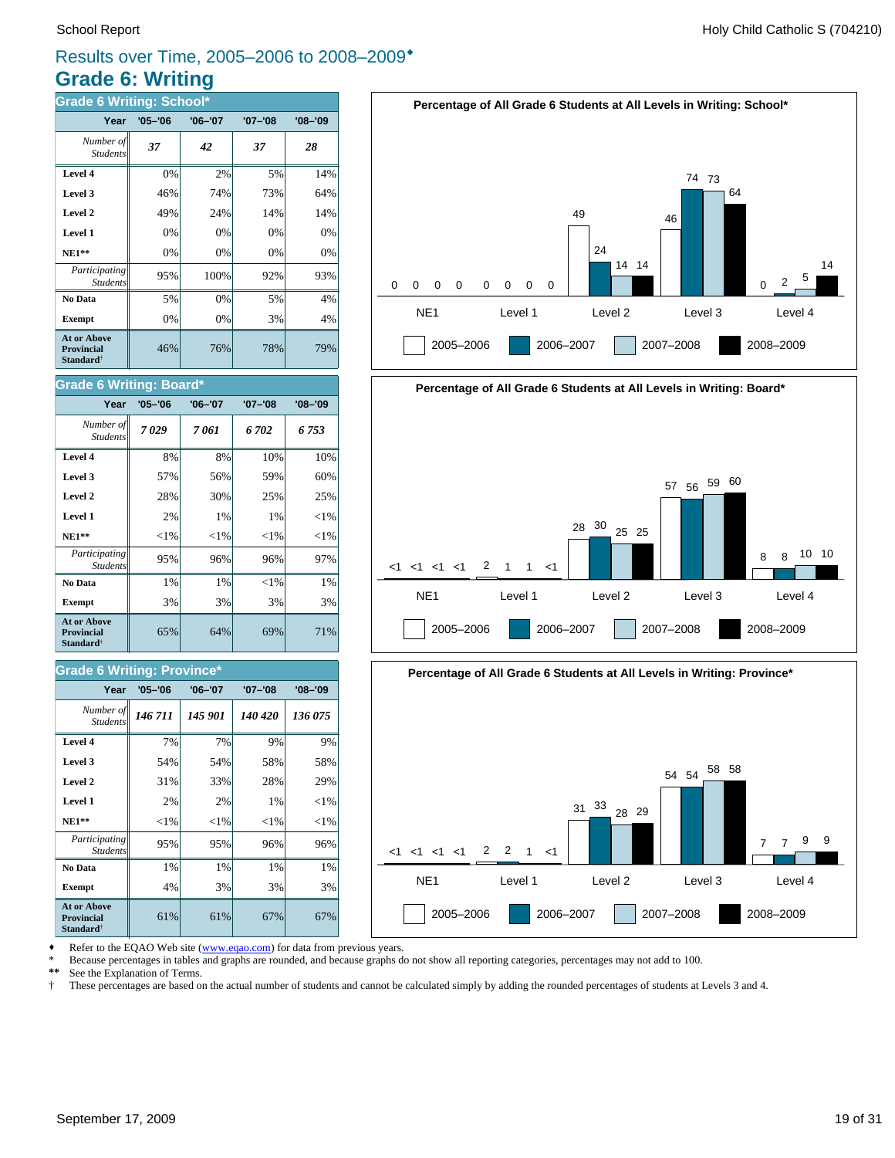### **Grade 6: Writing** Results over Time, 2005–2006 to 2008–2009\*

| <b>Grade 6 Writing: School*</b>                                         |             |             |             |             |  |
|-------------------------------------------------------------------------|-------------|-------------|-------------|-------------|--|
| Year                                                                    | $'05 - '06$ | $'06 - '07$ | $'07 - '08$ | $'08 - '09$ |  |
| Number of<br><b>Students</b>                                            | 37          | 42          | 37          | 28          |  |
| Level 4                                                                 | 0%          | 2%          | 5%          | 14%         |  |
| Level 3                                                                 | 46%         | 74%         | 73%         | 64%         |  |
| Level 2                                                                 | 49%         | 24%         | 14%         | 14%         |  |
| Level 1                                                                 | 0%          | 0%          | 0%          | 0%          |  |
| <b>NE1**</b>                                                            | 0%          | 0%          | 0%          | 0%          |  |
| Participating<br><b>Students</b>                                        | 95%         | 100%        | 92%         | 93%         |  |
| No Data                                                                 | 5%          | 0%          | 5%          | 4%          |  |
| <b>Exempt</b>                                                           | 0%          | 0%          | 3%          | 4%          |  |
| <b>At or Above</b><br><b>Provincial</b><br><b>Standard</b> <sup>†</sup> | 46%         | 76%         | 78%         | 79%         |  |

![](_page_18_Figure_4.jpeg)

![](_page_18_Figure_5.jpeg)

![](_page_18_Figure_6.jpeg)

Refer to the EQAO Web site (www.eqao.com) for data from previous years.

\* Because percentages in tables and graphs are rounded, and because graphs do not show all reporting categories, percentages may not add to 100.

\*\* See the Explanation of Terms.<br><sup>†</sup> These percentages are based on

† These percentages are based on the actual number of students and cannot be calculated simply by adding the rounded percentages of students at Levels 3 and 4.

### **Level 3**  $\begin{vmatrix} 57\% & 56\% \end{vmatrix}$  59% 60%

**Grade 6 Writing: Board\***

Student.

| Level 2                                               | 28%      | 30%      | 25%      | 25%      |
|-------------------------------------------------------|----------|----------|----------|----------|
| Level 1                                               | 2%       | 1%       | 1%       | ${<}1\%$ |
| $NE1**$                                               | ${<}1\%$ | ${<}1\%$ | ${<}1\%$ | ${<}1\%$ |
| Participating<br><b>Students</b>                      | 95%      | 96%      | 96%      | 97%      |
| No Data                                               | 1%       | 1%       | ${<}1\%$ | 1%       |
| <b>Exempt</b>                                         | 3%       | 3%       | 3%       | 3%       |
| At or Above<br><b>Provincial</b><br><b>Standard</b> † | 65%      | 64%      | 69%      | 71%      |
|                                                       |          |          |          |          |

**Level 4** 8% 8% 10% 10% *7 029 7 061 6 702 6 753 Number of*

**Year '05–'06 '06–'07 '07–'08 '08–'09**

#### **Grade 6 Writing: Province\***

| Year                                                                    | $'05 - '06$ | $'06 - '07$ | $'07 - '08$ | $'08 - '09$ |
|-------------------------------------------------------------------------|-------------|-------------|-------------|-------------|
| Number of<br><b>Students</b>                                            | 146711      | 145 901     | 140 420     | 136 075     |
| Level 4                                                                 | 7%          | 7%          | 9%          | 9%          |
| Level 3                                                                 | 54%         | 54%         | 58%         | 58%         |
| Level 2                                                                 | 31%         | 33%         | 28%         | 29%         |
| Level 1                                                                 | 2%          | 2%          | 1%          | ${<}1\%$    |
| <b>NE1**</b>                                                            | ${<}1\%$    | ${<}1\%$    | ${<}1\%$    | ${<}1\%$    |
| Participating<br><b>Students</b>                                        | 95%         | 95%         | 96%         | 96%         |
| No Data                                                                 | 1%          | 1%          | 1%          | 1%          |
| <b>Exempt</b>                                                           | 4%          | 3%          | 3%          | 3%          |
| <b>At or Above</b><br><b>Provincial</b><br><b>Standard</b> <sup>†</sup> | 61%         | 61%         | 67%         | 67%         |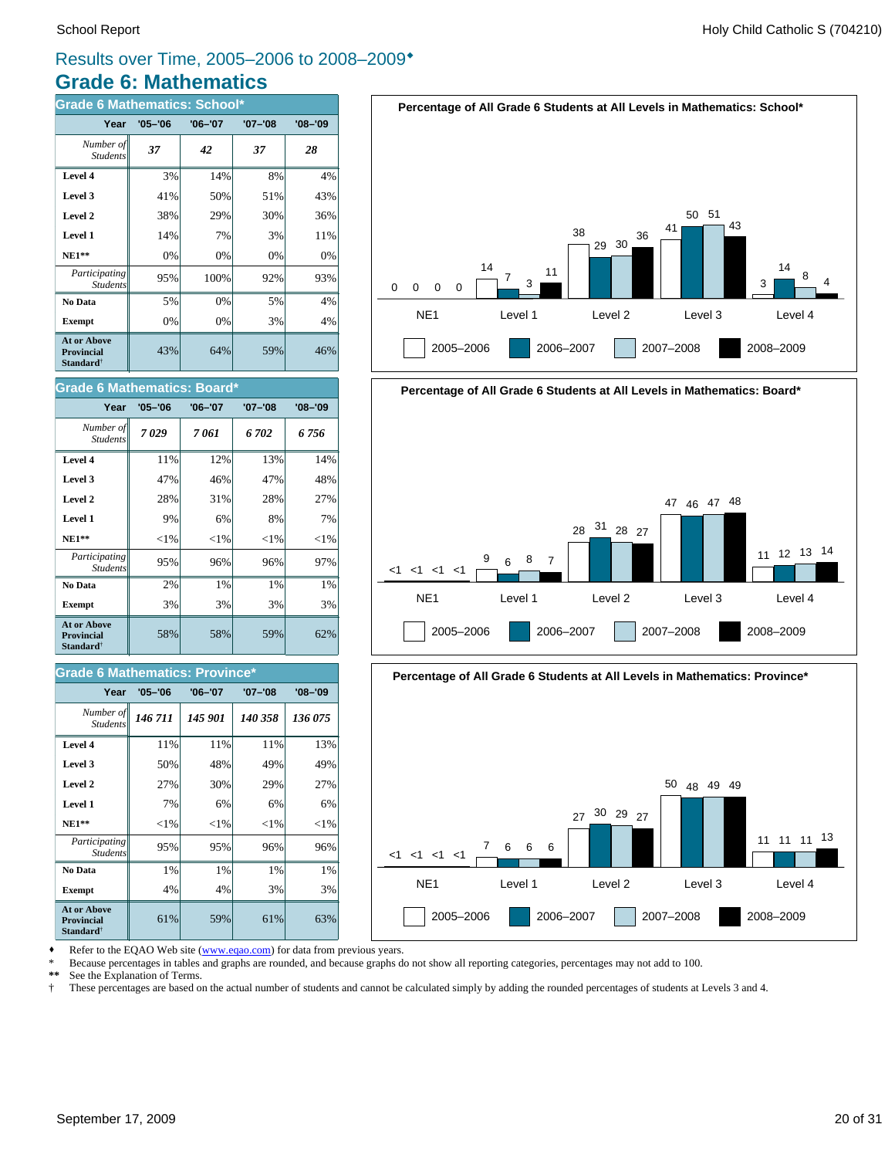### **Grade 6: Mathematics** Results over Time, 2005–2006 to 2008–2009\*

| <b>Grade 6 Mathematics: School*</b>                                     |             |             |         |             |  |
|-------------------------------------------------------------------------|-------------|-------------|---------|-------------|--|
| Year                                                                    | $'05 - '06$ | $'06 - '07$ | '07–'08 | $'08 - '09$ |  |
| Number of<br><b>Students</b>                                            | 37          | 42          | 37      | 28          |  |
| Level 4                                                                 | 3%          | 14%         | 8%      | 4%          |  |
| Level 3                                                                 | 41%         | 50%         | 51%     | 43%         |  |
| Level 2                                                                 | 38%         | 29%         | 30%     | 36%         |  |
| Level 1                                                                 | 14%         | 7%          | 3%      | 11%         |  |
| <b>NE1**</b>                                                            | 0%          | 0%          | 0%      | 0%          |  |
| Participating<br><b>Students</b>                                        | 95%         | 100%        | 92%     | 93%         |  |
| No Data                                                                 | 5%          | 0%          | 5%      | 4%          |  |
| <b>Exempt</b>                                                           | 0%          | 0%          | 3%      | 4%          |  |
| <b>At or Above</b><br><b>Provincial</b><br><b>Standard</b> <sup>†</sup> | 43%         | 64%         | 59%     | 46%         |  |

![](_page_19_Figure_4.jpeg)

![](_page_19_Figure_5.jpeg)

| Year                                                                    | $'05 - '06$ | $'06 - '07$ | '07-'08  | $'08 - '09$ |
|-------------------------------------------------------------------------|-------------|-------------|----------|-------------|
| Number of<br><b>Students</b>                                            | 7029        | 7 061       | 6 702    | 6 756       |
| Level 4                                                                 | 11%         | 12%         | 13%      | 14%         |
| Level 3                                                                 | 47%         | 46%         | 47%      | 48%         |
| Level 2                                                                 | 28%         | 31%         | 28%      | 27%         |
| Level 1                                                                 | 9%          | 6%          | 8%       | 7%          |
| $NE1**$                                                                 | ${<}1\%$    | ${<}1\%$    | ${<}1\%$ | ${<}1\%$    |
| Participating<br><b>Students</b>                                        | 95%         | 96%         | 96%      | 97%         |
| No Data                                                                 | 2%          | $1\%$       | 1%       | 1%          |
| <b>Exempt</b>                                                           | 3%          | 3%          | 3%       | 3%          |
| <b>At or Above</b><br><b>Provincial</b><br><b>Standard</b> <sup>†</sup> | 58%         | 58%         | 59%      | 62%         |

#### **Grade 6 Mathematics: Province\***

| Year                                                                    | $'05 - '06$ | $'06 - '07$ | '07-'08  | $'08 - '09$ |
|-------------------------------------------------------------------------|-------------|-------------|----------|-------------|
| Number of   <br><b>Students</b>                                         | 146 711     | 145 901     | 140 358  | 136 075     |
| Level 4                                                                 | 11%         | 11%         | 11%      | 13%         |
| Level 3                                                                 | 50%         | 48%         | 49%      | 49%         |
| Level 2                                                                 | 27%         | 30%         | 29%      | 27%         |
| Level 1                                                                 | 7%          | 6%          | 6%       | 6%          |
| $NE1**$                                                                 | ${<}1\%$    | ${<}1\%$    | ${<}1\%$ | ${<}1\%$    |
| Participating<br><b>Students</b>                                        | 95%         | 95%         | 96%      | 96%         |
| No Data                                                                 | 1%          | 1%          | 1%       | 1%          |
| <b>Exempt</b>                                                           | 4%          | 4%          | 3%       | 3%          |
| <b>At or Above</b><br><b>Provincial</b><br><b>Standard</b> <sup>†</sup> | 61%         | 59%         | 61%      | 63%         |

![](_page_19_Figure_9.jpeg)

![](_page_19_Figure_10.jpeg)

Refer to the EQAO Web site (www.eqao.com) for data from previous years.

\* Because percentages in tables and graphs are rounded, and because graphs do not show all reporting categories, percentages may not add to 100.

**\*\*** See the Explanation of Terms.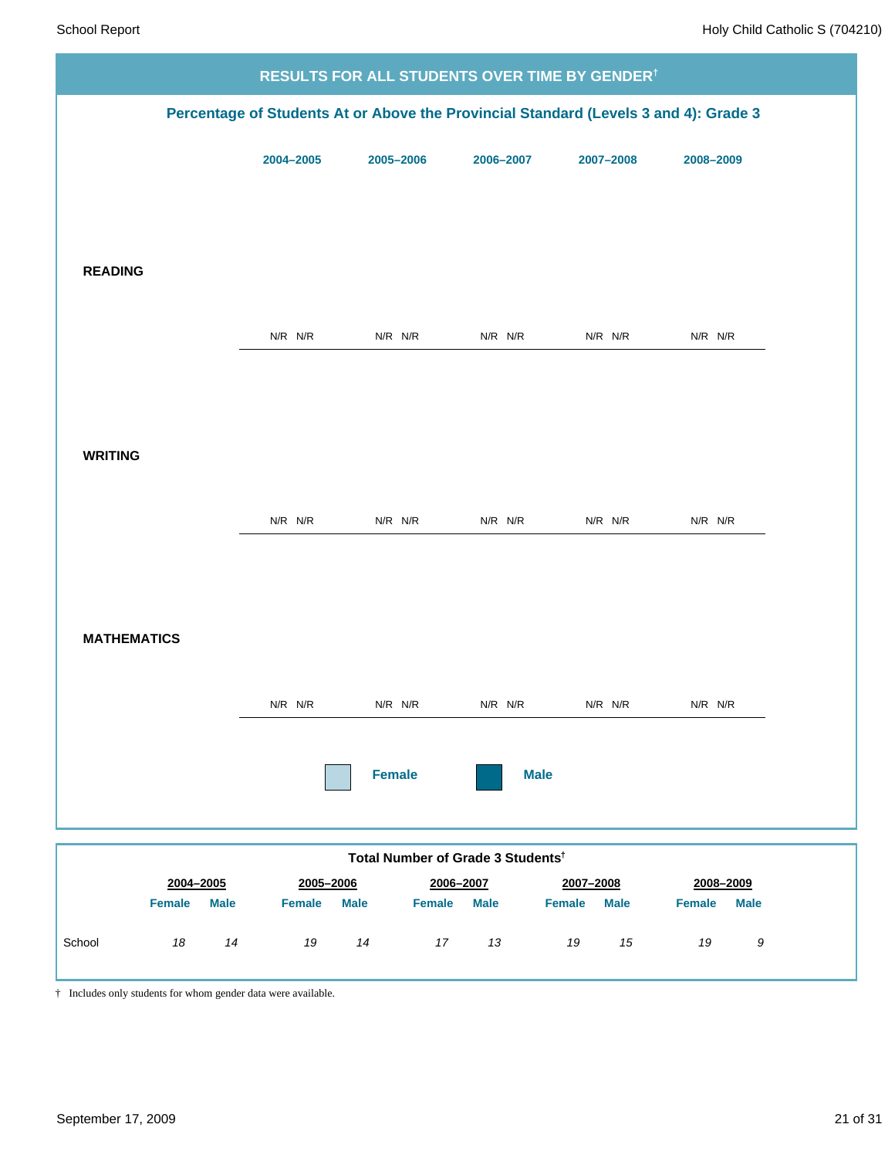|                              |               |                                               |             | <b>RESULTS FOR ALL STUDENTS OVER TIME BY GENDER<sup>†</sup></b>                      |                              |
|------------------------------|---------------|-----------------------------------------------|-------------|--------------------------------------------------------------------------------------|------------------------------|
|                              |               |                                               |             | Percentage of Students At or Above the Provincial Standard (Levels 3 and 4): Grade 3 |                              |
|                              | 2004-2005     | 2005-2006                                     | 2006-2007   | 2007-2008                                                                            | 2008-2009                    |
|                              |               |                                               |             |                                                                                      |                              |
|                              |               |                                               |             |                                                                                      |                              |
| <b>READING</b>               |               |                                               |             |                                                                                      |                              |
|                              | $N/R$ $N/R$   | $N/R$ $N/R$                                   | $N/R$ $N/R$ | $N/R$ $N/R$                                                                          | N/R N/R                      |
|                              |               |                                               |             |                                                                                      |                              |
|                              |               |                                               |             |                                                                                      |                              |
| <b>WRITING</b>               |               |                                               |             |                                                                                      |                              |
|                              | N/R N/R       | $N/R$ $N/R$                                   | $N/R$ $N/R$ | $N/R$ $N/R$                                                                          | $N/R$ $N/R$                  |
|                              |               |                                               |             |                                                                                      |                              |
|                              |               |                                               |             |                                                                                      |                              |
| <b>MATHEMATICS</b>           |               |                                               |             |                                                                                      |                              |
|                              | N/R N/R       | $N/R$ $N/R$                                   | $N/R$ $N/R$ | $N/R$ $N/R$                                                                          | N/R N/R                      |
|                              |               |                                               |             |                                                                                      |                              |
|                              |               | <b>Female</b>                                 | <b>Male</b> |                                                                                      |                              |
|                              |               |                                               |             |                                                                                      |                              |
| 2004-2005                    | 2005-2006     | Total Number of Grade 3 Students <sup>t</sup> | 2006-2007   | 2007-2008                                                                            | 2008-2009                    |
| <b>Female</b><br><b>Male</b> | <b>Female</b> | <b>Male</b><br><b>Female</b>                  | <b>Male</b> | Female<br><b>Male</b>                                                                | <b>Male</b><br><b>Female</b> |
| School<br>18<br>14           | 19            | 14<br>17                                      | 13          | $15\,$<br>19                                                                         | 19<br>9                      |

† Includes only students for whom gender data were available.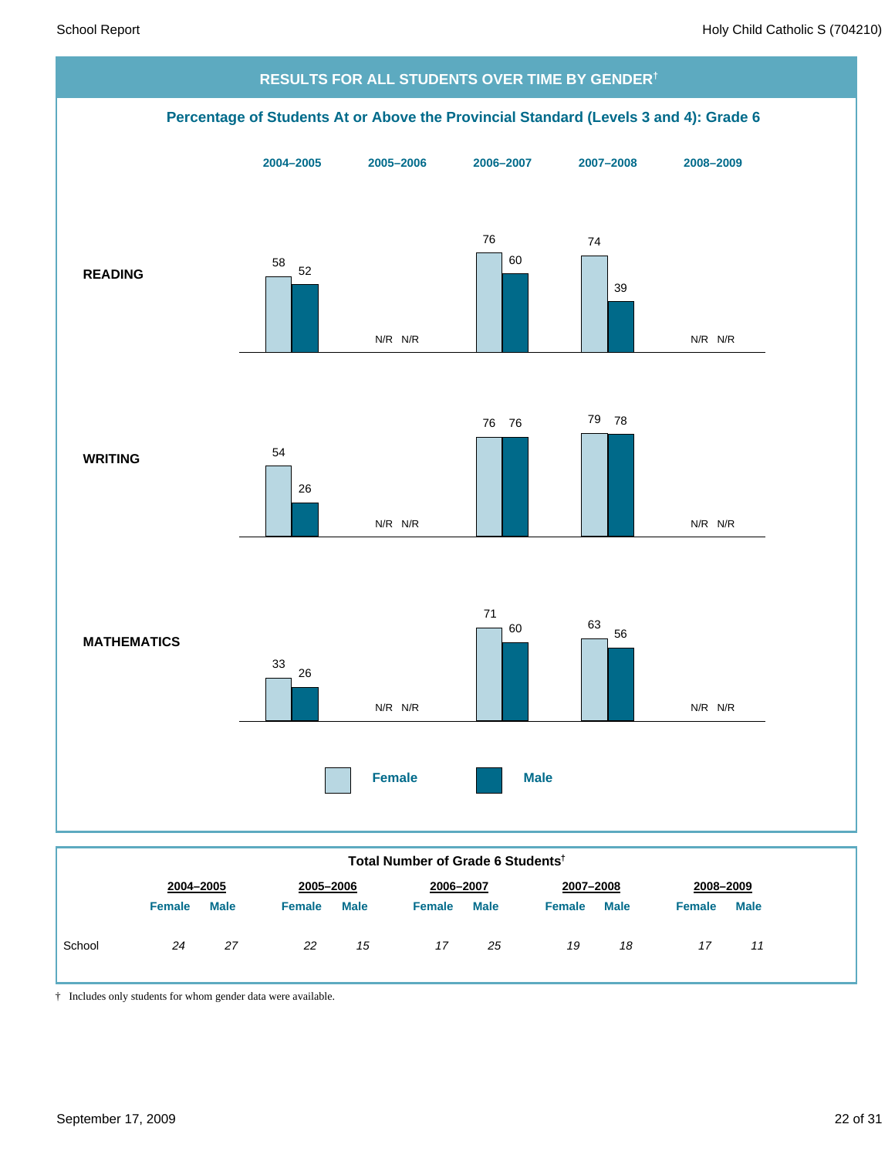![](_page_21_Figure_2.jpeg)

**Total Number of Grade 6 Students†**

|        | 2004-2005     |             | 2005-2006<br>2006-2007 |             | 2007-2008<br>2008-2009 |             |               |             |        |             |
|--------|---------------|-------------|------------------------|-------------|------------------------|-------------|---------------|-------------|--------|-------------|
|        | <b>Female</b> | <b>Male</b> | <b>Female</b>          | <b>Male</b> | Female                 | <b>Male</b> | <b>Female</b> | <b>Male</b> | Female | <b>Male</b> |
| School | 24            | 27          | 22                     | 15          | 17                     | 25          | 19            | 18          | 17     | 11          |

† Includes only students for whom gender data were available.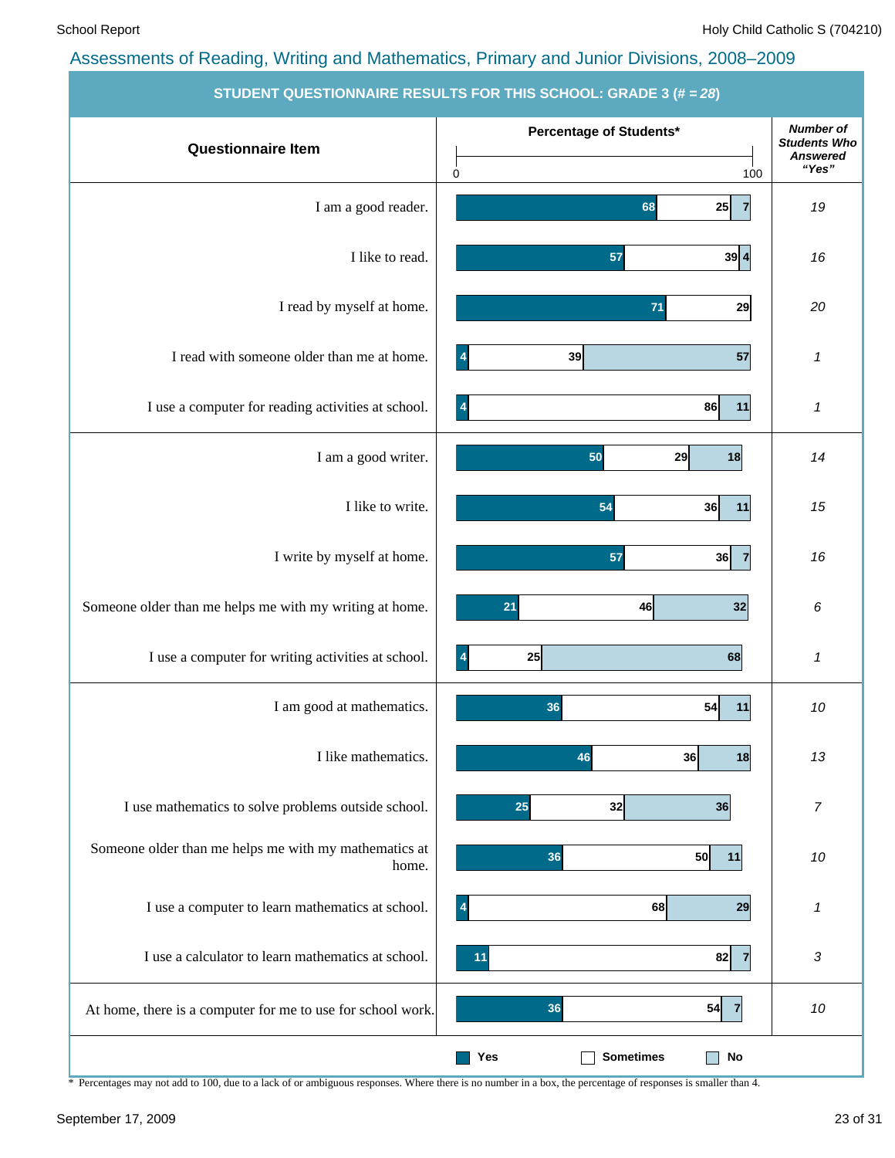|                                                                | STUDENT QUESTIONNAIRE RESULTS FOR THIS SCHOOL: GRADE 3 (# = 28) |                                                            |
|----------------------------------------------------------------|-----------------------------------------------------------------|------------------------------------------------------------|
| <b>Questionnaire Item</b>                                      | Percentage of Students*                                         | <b>Number of</b><br><b>Students Who</b><br><b>Answered</b> |
|                                                                | 0<br>100                                                        | "Yes"                                                      |
| I am a good reader.                                            | 25<br>68<br>$\overline{7}$                                      | 19                                                         |
| I like to read.                                                | 57<br>39 4                                                      | 16                                                         |
| I read by myself at home.                                      | 71<br>29                                                        | 20                                                         |
| I read with someone older than me at home.                     | 57<br>39<br>$\overline{4}$                                      | 1                                                          |
| I use a computer for reading activities at school.             | 86<br>11<br>$\overline{\mathcal{A}}$                            | $\pmb{\mathcal{I}}$                                        |
| I am a good writer.                                            | 50<br>29<br>18                                                  | 14                                                         |
| I like to write.                                               | 54<br>36<br>11                                                  | 15                                                         |
| I write by myself at home.                                     | 57<br>36<br>$\overline{7}$                                      | 16                                                         |
| Someone older than me helps me with my writing at home.        | 21<br>32<br>46                                                  | 6                                                          |
| I use a computer for writing activities at school.             | 25<br>$\overline{4}$<br>68                                      | $\boldsymbol{\mathcal{I}}$                                 |
| I am good at mathematics.                                      | 54<br>36<br>11                                                  | 10                                                         |
| I like mathematics.                                            | 36<br>46<br>18                                                  | 13                                                         |
| I use mathematics to solve problems outside school.            | 25<br>32<br>36                                                  | $\boldsymbol{7}$                                           |
| Someone older than me helps me with my mathematics at<br>home. | 36<br>50<br>11                                                  | 10                                                         |
| I use a computer to learn mathematics at school.               | 68<br>29<br>$\overline{\mathbf{A}}$                             | 1                                                          |
| I use a calculator to learn mathematics at school.             | 82<br>11                                                        | 3                                                          |
| At home, there is a computer for me to use for school work.    | 54<br>36<br>$\overline{7}$                                      | 10                                                         |
|                                                                | <b>Sometimes</b><br>$\mathop{\sf No}\nolimits$<br>Yes           |                                                            |

**STUDENT QUESTIONNAIRE RESULTS FOR THIS SCHOOL: GRADE 3 (# =** *28***)**

\* Percentages may not add to 100, due to a lack of or ambiguous responses. Where there is no number in a box, the percentage of responses is smaller than 4.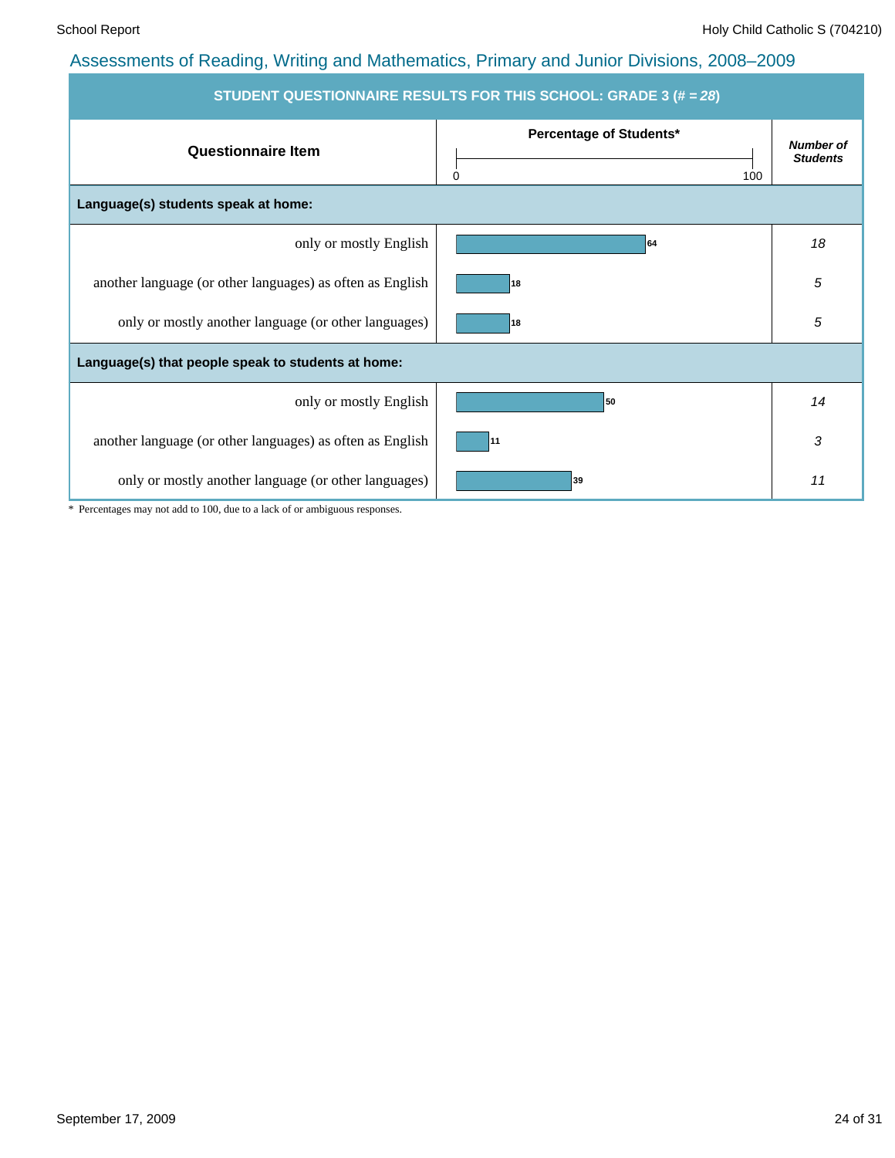| STUDENT QUESTIONNAIRE RESULTS FOR THIS SCHOOL: GRADE 3 (# = 28) |                                     |                                     |  |  |  |  |  |  |
|-----------------------------------------------------------------|-------------------------------------|-------------------------------------|--|--|--|--|--|--|
| <b>Questionnaire Item</b>                                       | Percentage of Students*<br>0<br>100 | <b>Number of</b><br><b>Students</b> |  |  |  |  |  |  |
| Language(s) students speak at home:                             |                                     |                                     |  |  |  |  |  |  |
| only or mostly English                                          | 64                                  | 18                                  |  |  |  |  |  |  |
| another language (or other languages) as often as English       | 18                                  | 5                                   |  |  |  |  |  |  |
| only or mostly another language (or other languages)            | 18                                  | 5                                   |  |  |  |  |  |  |
| Language(s) that people speak to students at home:              |                                     |                                     |  |  |  |  |  |  |
| only or mostly English                                          | 50                                  | 14                                  |  |  |  |  |  |  |
| another language (or other languages) as often as English       | 11                                  | 3                                   |  |  |  |  |  |  |
| only or mostly another language (or other languages)            | 39                                  | 11                                  |  |  |  |  |  |  |

\* Percentages may not add to 100, due to a lack of or ambiguous responses.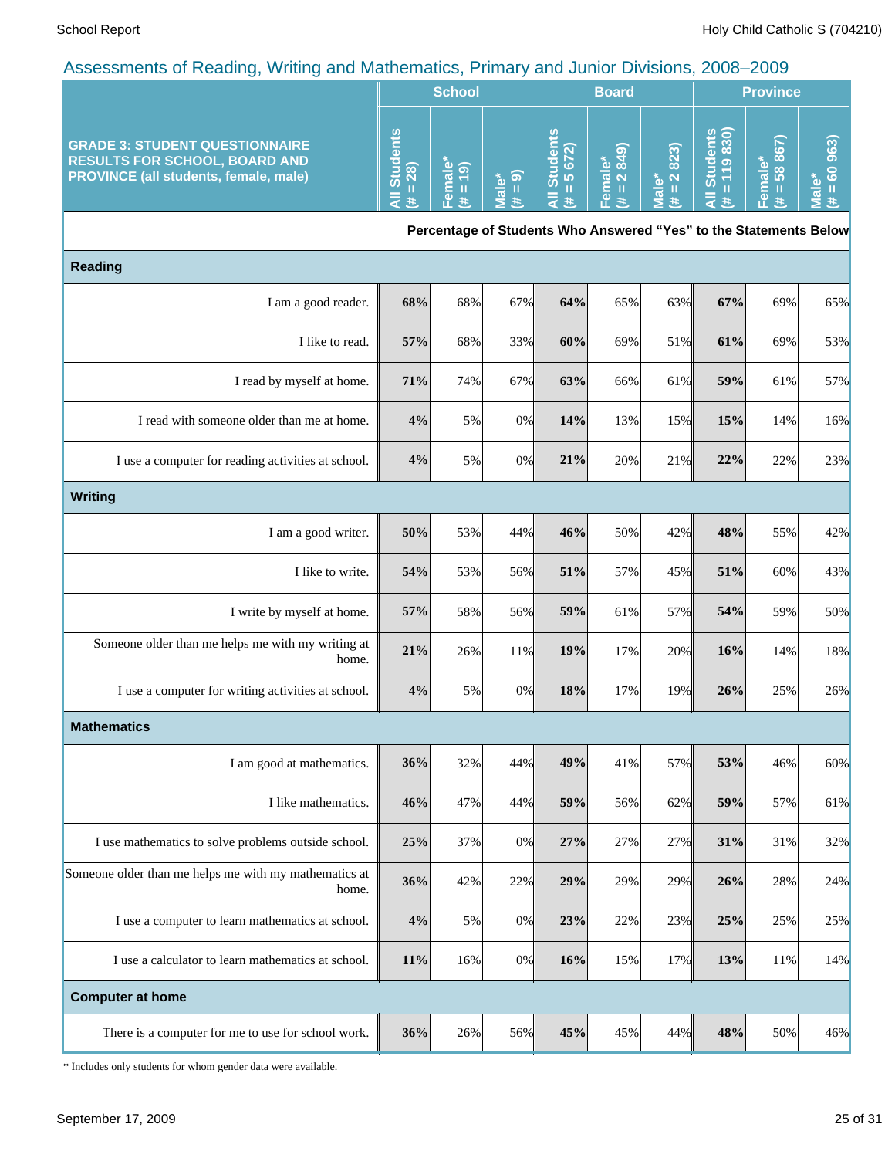|                                                                                                                               | <b>School</b>                        |                                         |                                     | <b>Board</b>   |                                       |      | <b>Province</b> |                               |                            |
|-------------------------------------------------------------------------------------------------------------------------------|--------------------------------------|-----------------------------------------|-------------------------------------|----------------|---------------------------------------|------|-----------------|-------------------------------|----------------------------|
| <b>GRADE 3: STUDENT QUESTIONNAIRE</b><br><b>RESULTS FOR SCHOOL, BOARD AND</b><br><b>PROVINCE (all students, female, male)</b> | <u>ળ</u><br>ā<br>٦Oλ<br>$rac{3}{28}$ | $\overline{\omega}$ $\overline{\omega}$ | $^*$ စ ါ<br>$\overline{\mathbf{c}}$ | n<br><b>LO</b> | - 66<br>Œ.<br>$\overline{a}$ $\alpha$ | 823) |                 | ထဲ<br>$\infty$<br>$\sigma$ to | ∾<br>tΘ<br>Б<br>$\epsilon$ |

**Percentage of Students Who Answered "Yes" to the Statements Below**

| <b>Reading</b>                                                 |     |     |       |     |     |     |     |     |     |
|----------------------------------------------------------------|-----|-----|-------|-----|-----|-----|-----|-----|-----|
| I am a good reader.                                            | 68% | 68% | 67%   | 64% | 65% | 63% | 67% | 69% | 65% |
| I like to read.                                                | 57% | 68% | 33%   | 60% | 69% | 51% | 61% | 69% | 53% |
| I read by myself at home.                                      | 71% | 74% | 67%   | 63% | 66% | 61% | 59% | 61% | 57% |
| I read with someone older than me at home.                     | 4%  | 5%  | 0%    | 14% | 13% | 15% | 15% | 14% | 16% |
| I use a computer for reading activities at school.             | 4%  | 5%  | 0%    | 21% | 20% | 21% | 22% | 22% | 23% |
| <b>Writing</b>                                                 |     |     |       |     |     |     |     |     |     |
| I am a good writer.                                            | 50% | 53% | 44%   | 46% | 50% | 42% | 48% | 55% | 42% |
| I like to write.                                               | 54% | 53% | 56%   | 51% | 57% | 45% | 51% | 60% | 43% |
| I write by myself at home.                                     | 57% | 58% | 56%   | 59% | 61% | 57% | 54% | 59% | 50% |
| Someone older than me helps me with my writing at<br>home.     | 21% | 26% | 11%   | 19% | 17% | 20% | 16% | 14% | 18% |
| I use a computer for writing activities at school.             | 4%  | 5%  | 0%    | 18% | 17% | 19% | 26% | 25% | 26% |
| <b>Mathematics</b>                                             |     |     |       |     |     |     |     |     |     |
| I am good at mathematics.                                      | 36% | 32% | 44%   | 49% | 41% | 57% | 53% | 46% | 60% |
| I like mathematics.                                            | 46% | 47% | 44%   | 59% | 56% | 62% | 59% | 57% | 61% |
| I use mathematics to solve problems outside school.            | 25% | 37% | 0%    | 27% | 27% | 27% | 31% | 31% | 32% |
| Someone older than me helps me with my mathematics at<br>home. | 36% | 42% | 22%   | 29% | 29% | 29% | 26% | 28% | 24% |
| I use a computer to learn mathematics at school.               | 4%  | 5%  | 0%    | 23% | 22% | 23% | 25% | 25% | 25% |
| I use a calculator to learn mathematics at school.             | 11% | 16% | $0\%$ | 16% | 15% | 17% | 13% | 11% | 14% |
| <b>Computer at home</b>                                        |     |     |       |     |     |     |     |     |     |
| There is a computer for me to use for school work.             | 36% | 26% | 56%   | 45% | 45% | 44% | 48% | 50% | 46% |

\* Includes only students for whom gender data were available.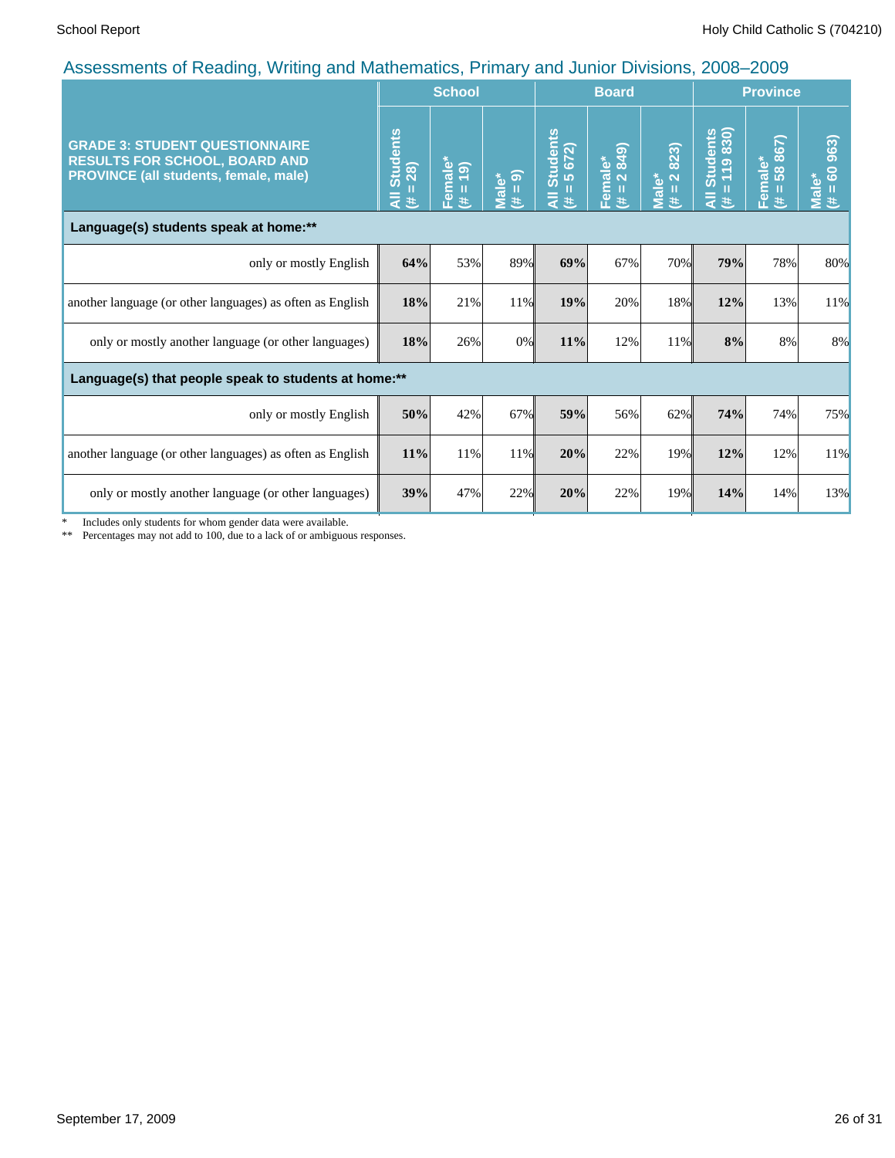|                                                                                                                               |                                      | <b>School</b>            |                     |                                             | <b>Board</b>                                         |                          |                                          | <b>Province</b>                 |                                        |
|-------------------------------------------------------------------------------------------------------------------------------|--------------------------------------|--------------------------|---------------------|---------------------------------------------|------------------------------------------------------|--------------------------|------------------------------------------|---------------------------------|----------------------------------------|
| <b>GRADE 3: STUDENT QUESTIONNAIRE</b><br><b>RESULTS FOR SCHOOL, BOARD AND</b><br><b>PROVINCE (all students, female, male)</b> | <b>Students</b><br>$= 28$<br>₹<br>y. | Female*<br>(6)<br>П<br>共 | $= 9$<br>Male*<br>违 | Students<br>$= 5672$<br>Ш<br>$\bar{a}$<br>巷 | 849)<br>Female*<br>$\overline{\mathbf{N}}$<br>Ш<br>共 | 2823)<br>Male*<br>Ш<br>巷 | Students<br>= 119 830)<br>$\bar{a}$<br>违 | iale*<br>58 867)<br>Ē<br>图<br>共 | 60 963)<br>Male <sup>*</sup><br>Ш<br>违 |
| Language(s) students speak at home:**                                                                                         |                                      |                          |                     |                                             |                                                      |                          |                                          |                                 |                                        |
| only or mostly English                                                                                                        | 64%                                  | 53%                      | 89%                 | 69%                                         | 67%                                                  | 70%                      | 79%                                      | 78%                             | 80%                                    |
| another language (or other languages) as often as English                                                                     | 18%                                  | 21%                      | 11%                 | 19%                                         | 20%                                                  | 18%                      | 12%                                      | 13%                             | 11%                                    |
| only or mostly another language (or other languages)                                                                          | 18%                                  | 26%                      | 0%                  | 11%                                         | 12%                                                  | 11%                      | 8%                                       | 8%                              | 8%                                     |
| Language(s) that people speak to students at home:**                                                                          |                                      |                          |                     |                                             |                                                      |                          |                                          |                                 |                                        |
| only or mostly English                                                                                                        | 50%                                  | 42%                      | 67%                 | 59%                                         | 56%                                                  | 62%                      | 74%                                      | 74%                             | 75%                                    |
| another language (or other languages) as often as English                                                                     | 11%                                  | 11%                      | 11%                 | 20%                                         | 22%                                                  | 19%                      | 12%                                      | 12%                             | 11%                                    |
| only or mostly another language (or other languages)                                                                          | 39%                                  | 47%                      | 22%                 | 20%                                         | 22%                                                  | 19%                      | 14%                                      | 14%                             | 13%                                    |

\* Includes only students for whom gender data were available.

\*\* Percentages may not add to 100, due to a lack of or ambiguous responses.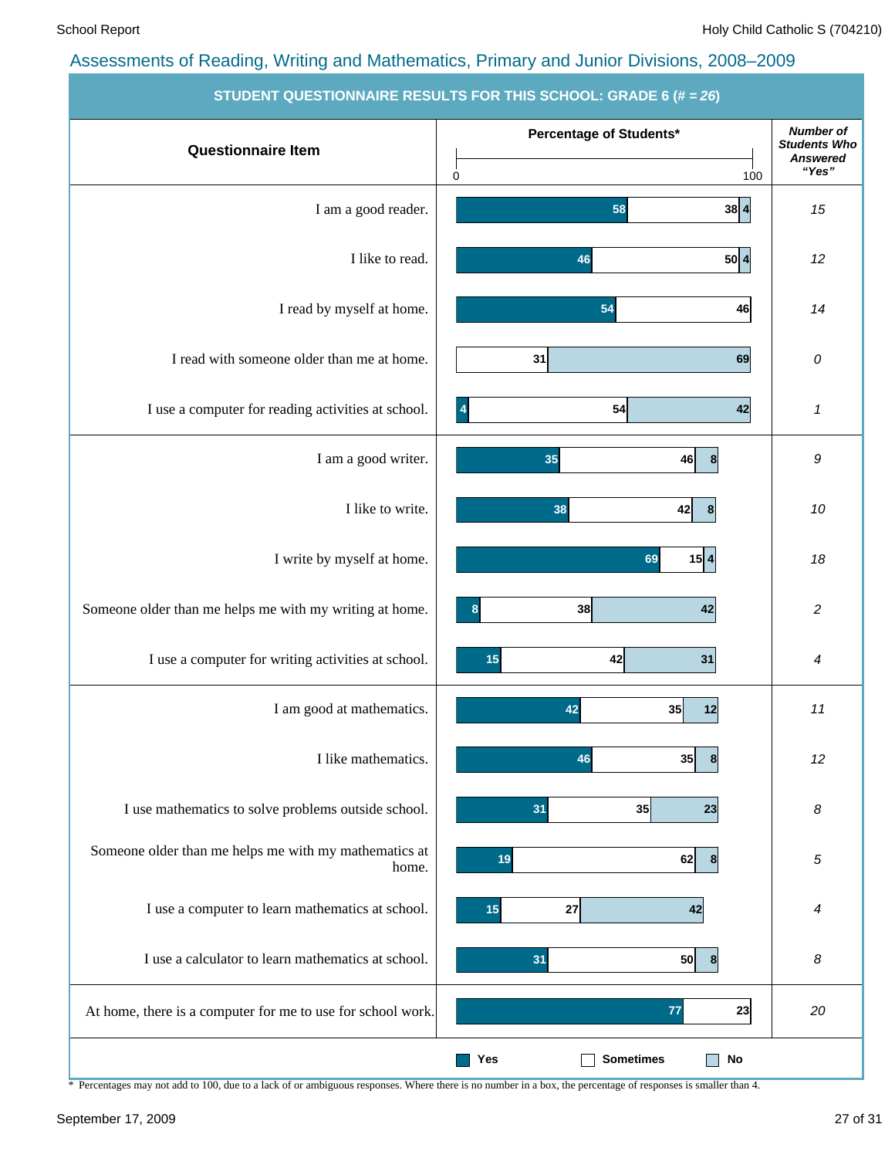|                                                                | $\sigma$ robert wold homeine neodero for this sonool. Simple $\sigma(\pi - z\sigma)$ |                                         |
|----------------------------------------------------------------|--------------------------------------------------------------------------------------|-----------------------------------------|
| <b>Questionnaire Item</b>                                      | Percentage of Students*                                                              | <b>Number of</b><br><b>Students Who</b> |
|                                                                | $\mathbf 0$<br>100                                                                   | <b>Answered</b><br>"Yes"                |
| I am a good reader.                                            | 38 4<br>58                                                                           | 15                                      |
| I like to read.                                                | 50 4<br>46                                                                           | 12                                      |
| I read by myself at home.                                      | 54<br>46                                                                             | 14                                      |
| I read with someone older than me at home.                     | 31<br>69                                                                             | 0                                       |
| I use a computer for reading activities at school.             | 42<br>$\overline{\mathbf{A}}$<br>54                                                  | 1                                       |
| I am a good writer.                                            | 35<br>46<br>8                                                                        | 9                                       |
| I like to write.                                               | 38<br>42<br>8                                                                        | 10                                      |
| I write by myself at home.                                     | 15 4<br>69                                                                           | 18                                      |
| Someone older than me helps me with my writing at home.        | 38<br>8<br>42                                                                        | $\overline{c}$                          |
| I use a computer for writing activities at school.             | 42<br>15<br>31                                                                       | 4                                       |
| I am good at mathematics.                                      | 42<br>35<br>12                                                                       | 11                                      |
| I like mathematics.                                            | 46<br>35<br>8 <sup>0</sup>                                                           | 12                                      |
| I use mathematics to solve problems outside school.            | 35<br>31<br>23                                                                       | 8                                       |
| Someone older than me helps me with my mathematics at<br>home. | 62<br>19<br>8                                                                        | 5                                       |
| I use a computer to learn mathematics at school.               | 27<br>15<br>42                                                                       | 4                                       |
| I use a calculator to learn mathematics at school.             | 50<br>31<br>8                                                                        | 8                                       |
| At home, there is a computer for me to use for school work.    | 77<br>23                                                                             | 20                                      |
|                                                                | <b>Sometimes</b><br>Yes<br><b>No</b>                                                 |                                         |

**STUDENT QUESTIONNAIRE RESULTS FOR THIS SCHOOL: GRADE** 

\* Percentages may not add to 100, due to a lack of or ambiguous responses. Where there is no number in a box, the percentage of responses is smaller than 4.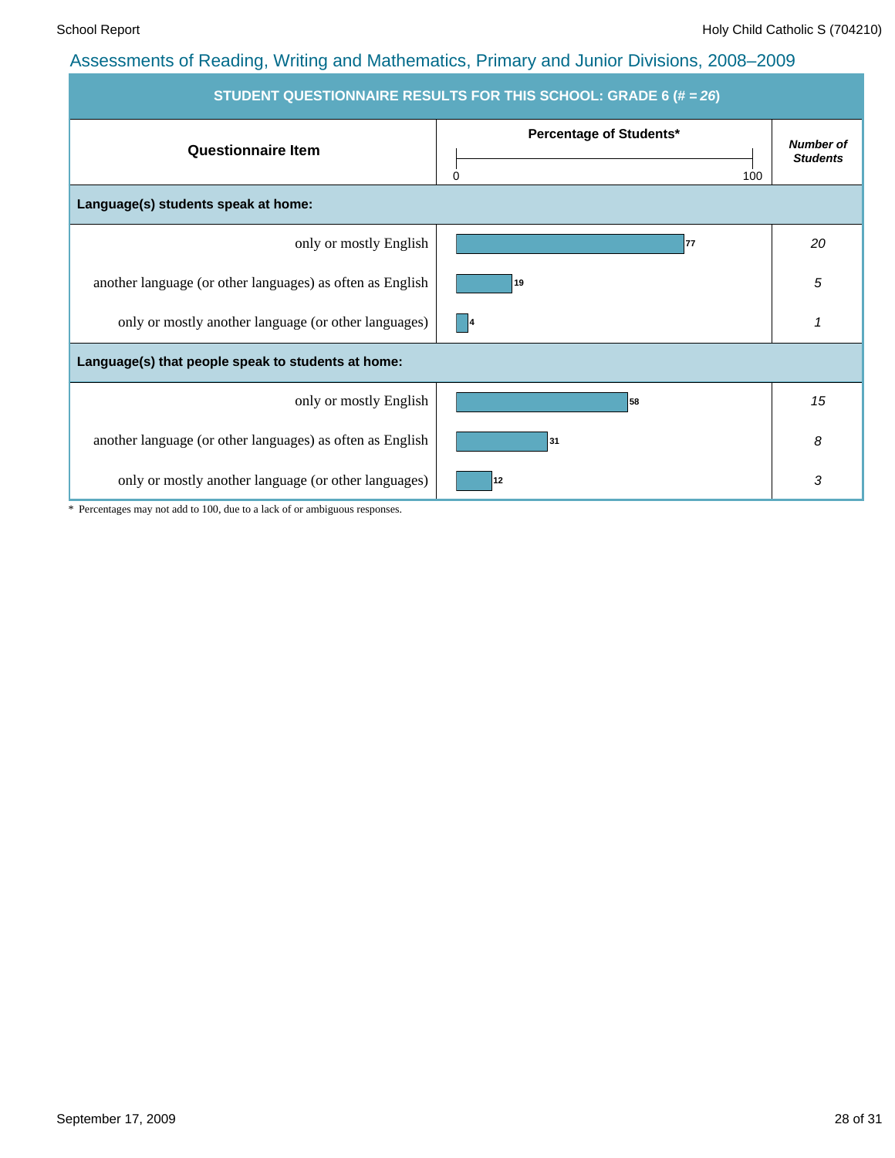| <b>STUDENT QUESTIONNAIRE RESULTS FOR THIS SCHOOL: GRADE 6 (# = 26)</b> |                                            |                                     |  |  |  |  |  |  |  |
|------------------------------------------------------------------------|--------------------------------------------|-------------------------------------|--|--|--|--|--|--|--|
| <b>Questionnaire Item</b>                                              | <b>Percentage of Students*</b><br>100<br>0 | <b>Number of</b><br><b>Students</b> |  |  |  |  |  |  |  |
| Language(s) students speak at home:                                    |                                            |                                     |  |  |  |  |  |  |  |
| only or mostly English                                                 | 77                                         | 20                                  |  |  |  |  |  |  |  |
| another language (or other languages) as often as English              | 19                                         | 5                                   |  |  |  |  |  |  |  |
| only or mostly another language (or other languages)                   | $\vert$ 4                                  | 1                                   |  |  |  |  |  |  |  |
| Language(s) that people speak to students at home:                     |                                            |                                     |  |  |  |  |  |  |  |
| only or mostly English                                                 | 58                                         | 15                                  |  |  |  |  |  |  |  |
| another language (or other languages) as often as English              | 31                                         | 8                                   |  |  |  |  |  |  |  |
| only or mostly another language (or other languages)                   | 12                                         | 3                                   |  |  |  |  |  |  |  |

\* Percentages may not add to 100, due to a lack of or ambiguous responses.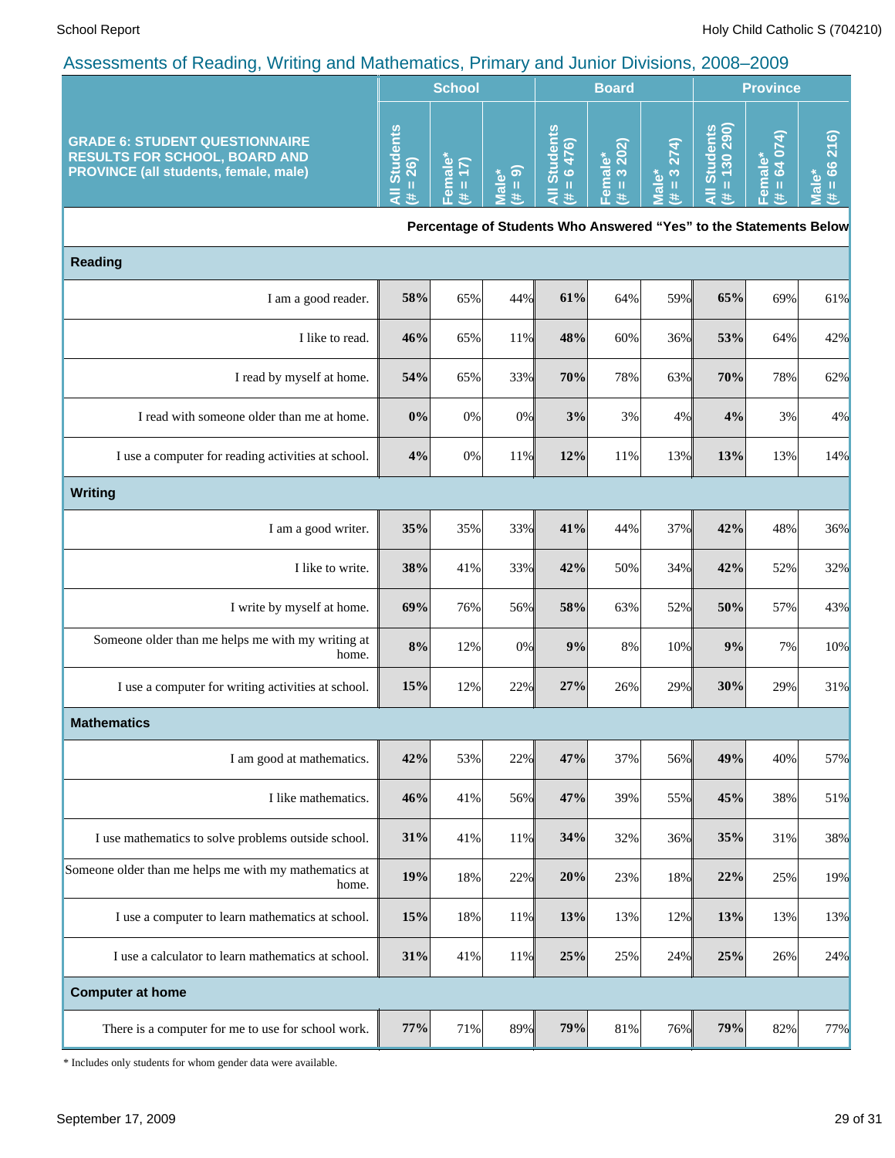|                                                                                                                        | <b>School</b>                               |                                     |                            | <b>Board</b>                                                      |                        |                                         | <b>Province</b>                           |                                        |                                                                         |  |
|------------------------------------------------------------------------------------------------------------------------|---------------------------------------------|-------------------------------------|----------------------------|-------------------------------------------------------------------|------------------------|-----------------------------------------|-------------------------------------------|----------------------------------------|-------------------------------------------------------------------------|--|
| <b>GRADE 6: STUDENT QUESTIONNAIRE</b><br><b>RESULTS FOR SCHOOL, BOARD AND</b><br>PROVINCE (all students, female, male) | <b>Students</b><br>$= 26$<br>$\bar{a}$<br>共 | Female*<br>$\vert$<br>$\frac{1}{1}$ | $= 9$<br><b>Male*</b><br># | <b>All Students</b><br>$= 6476$<br>業                              | Female*<br>(# = 3 202) | $= 3274$<br>Male <sup>*</sup><br>$\ast$ | All Students<br>$\frac{4}{10}$ = 130 290) | 64 074)<br>Female*<br>$\mathbf H$<br># | 66 216)<br>$\mathbf{c}$<br>$\mathbf{u}$<br>$\overline{\mathbf{a}}$<br>共 |  |
|                                                                                                                        |                                             |                                     |                            | Percentage of Students Who Answered "Yes" to the Statements Below |                        |                                         |                                           |                                        |                                                                         |  |
| <b>Reading</b>                                                                                                         |                                             |                                     |                            |                                                                   |                        |                                         |                                           |                                        |                                                                         |  |
| I am a good reader.                                                                                                    | 58%                                         | 65%                                 | 44%                        | 61%                                                               | 64%                    | 59%                                     | 65%                                       | 69%                                    | 61%                                                                     |  |
| I like to read.                                                                                                        | 46%                                         | 65%                                 | 11%                        | 48%                                                               | 60%                    | 36%                                     | 53%                                       | 64%                                    | 42%                                                                     |  |
| I read by myself at home.                                                                                              | 54%                                         | 65%                                 | 33%                        | 70%                                                               | 78%                    | 63%                                     | 70%                                       | 78%                                    | 62%                                                                     |  |
| I read with someone older than me at home.                                                                             | $0\%$                                       | $0\%$                               | 0%                         | 3%                                                                | 3%                     | 4%                                      | 4%                                        | 3%                                     | 4%                                                                      |  |
| I use a computer for reading activities at school.                                                                     | 4%                                          | $0\%$                               | 11%                        | 12%                                                               | 11%                    | 13%                                     | 13%                                       | 13%                                    | 14%                                                                     |  |
| <b>Writing</b>                                                                                                         |                                             |                                     |                            |                                                                   |                        |                                         |                                           |                                        |                                                                         |  |
| I am a good writer.                                                                                                    | 35%                                         | 35%                                 | 33%                        | 41%                                                               | 44%                    | 37%                                     | 42%                                       | 48%                                    | 36%                                                                     |  |
| I like to write.                                                                                                       | 38%                                         | 41%                                 | 33%                        | 42%                                                               | 50%                    | 34%                                     | 42%                                       | 52%                                    | 32%                                                                     |  |
| I write by myself at home.                                                                                             | 69%                                         | 76%                                 | 56%                        | 58%                                                               | 63%                    | 52%                                     | 50%                                       | 57%                                    | 43%                                                                     |  |
| Someone older than me helps me with my writing at<br>home.                                                             | 8%                                          | 12%                                 | 0%                         | 9%                                                                | 8%                     | 10%                                     | 9%                                        | 7%                                     | 10%                                                                     |  |
| I use a computer for writing activities at school.                                                                     | 15%                                         | 12%                                 | 22%                        | 27%                                                               | 26%                    | 29%                                     | 30%                                       | 29%                                    | 31%                                                                     |  |
| <b>Mathematics</b>                                                                                                     |                                             |                                     |                            |                                                                   |                        |                                         |                                           |                                        |                                                                         |  |
| I am good at mathematics.                                                                                              | 42%                                         | 53%                                 | 22%                        | 47%                                                               | 37%                    | 56%                                     | 49%                                       | 40%                                    | 57%                                                                     |  |
| I like mathematics.                                                                                                    | 46%                                         | 41%                                 | 56%                        | 47%                                                               | 39%                    | 55%                                     | 45%                                       | 38%                                    | 51%                                                                     |  |
| I use mathematics to solve problems outside school.                                                                    | 31%                                         | 41%                                 | 11%                        | 34%                                                               | 32%                    | 36%                                     | 35%                                       | 31%                                    | 38%                                                                     |  |
| Someone older than me helps me with my mathematics at<br>home.                                                         | 19%                                         | 18%                                 | 22%                        | 20%                                                               | 23%                    | 18%                                     | 22%                                       | 25%                                    | 19%                                                                     |  |
| I use a computer to learn mathematics at school.                                                                       | 15%                                         | 18%                                 | 11%                        | 13%                                                               | 13%                    | 12%                                     | 13%                                       | 13%                                    | 13%                                                                     |  |
| I use a calculator to learn mathematics at school.                                                                     | 31%                                         | 41%                                 | 11%                        | 25%                                                               | 25%                    | 24%                                     | 25%                                       | 26%                                    | 24%                                                                     |  |
| <b>Computer at home</b>                                                                                                |                                             |                                     |                            |                                                                   |                        |                                         |                                           |                                        |                                                                         |  |
| There is a computer for me to use for school work.                                                                     | 77%                                         | 71%                                 | 89%                        | 79%                                                               | 81%                    | 76%                                     | 79%                                       | 82%                                    | 77%                                                                     |  |

\* Includes only students for whom gender data were available.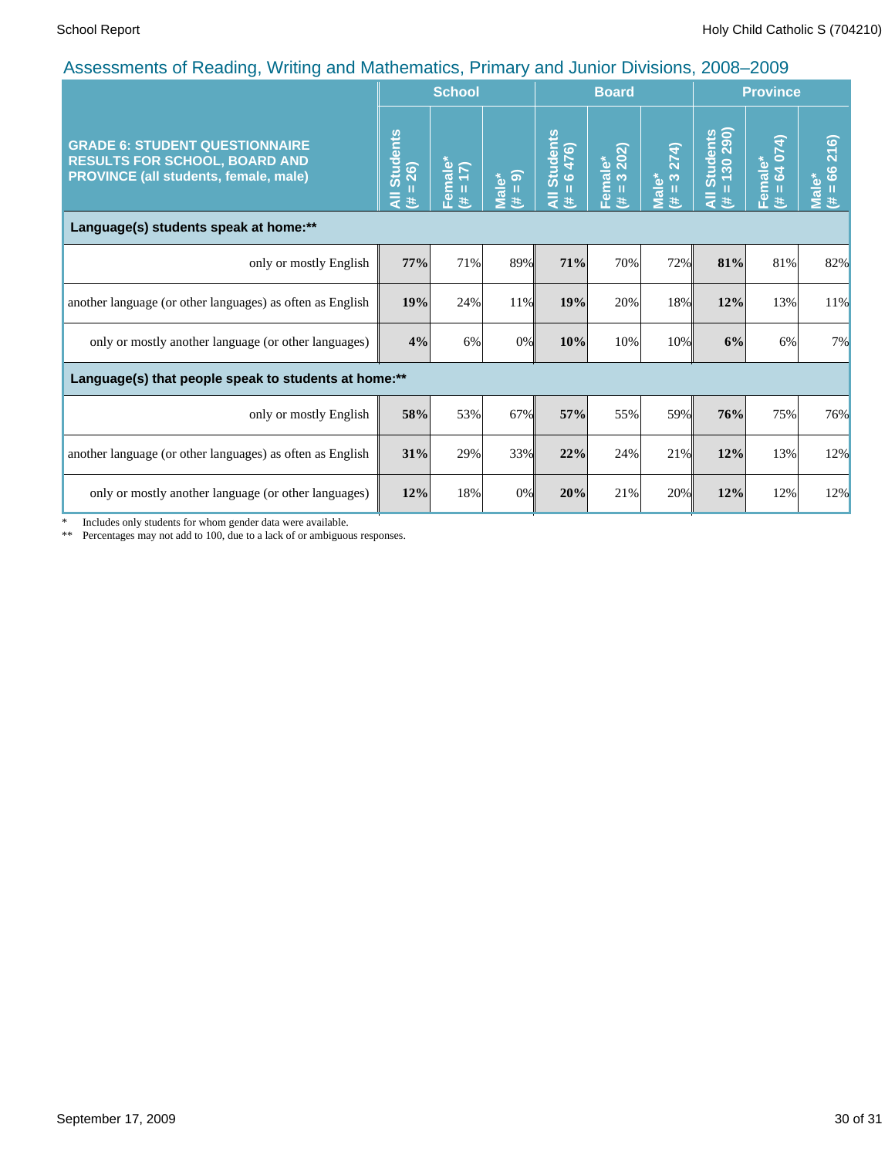| <u>.</u> 1                                                                                                                    |                                     | <b>School</b>                |                     |                                          | <b>Board</b>               |                        |                                  | <b>Province</b>            |                               |
|-------------------------------------------------------------------------------------------------------------------------------|-------------------------------------|------------------------------|---------------------|------------------------------------------|----------------------------|------------------------|----------------------------------|----------------------------|-------------------------------|
| <b>GRADE 6: STUDENT QUESTIONNAIRE</b><br><b>RESULTS FOR SCHOOL, BOARD AND</b><br><b>PROVINCE (all students, female, male)</b> | <b>Students</b><br>$= 26$<br>₹<br>进 | male*<br>= $17$ )<br>ၣႍ<br>巷 | $= 9$<br>Male*<br>巷 | I Students<br>= 6 476)<br>$\bar{a}$<br>违 | Female*<br>$(\# = 3\ 202)$ | $= 3274$<br>Male*<br>违 | Students<br>= 130 290)<br>₹<br>违 | 64 074)<br>male*<br>區<br>共 | 216)<br>66<br>Male*<br>ш<br>悲 |
| Language(s) students speak at home:**                                                                                         |                                     |                              |                     |                                          |                            |                        |                                  |                            |                               |
| only or mostly English                                                                                                        | 77%                                 | 71%                          | 89%                 | 71%                                      | 70%                        | 72%                    | 81%                              | 81%                        | 82%                           |
| another language (or other languages) as often as English                                                                     | 19%                                 | 24%                          | 11%                 | 19%                                      | 20%                        | 18%                    | 12%                              | 13%                        | 11%                           |
| only or mostly another language (or other languages)                                                                          | 4%                                  | 6%                           | 0%                  | 10%                                      | 10%                        | 10%                    | 6%                               | 6%                         | 7%                            |
| Language(s) that people speak to students at home:**                                                                          |                                     |                              |                     |                                          |                            |                        |                                  |                            |                               |
| only or mostly English                                                                                                        | 58%                                 | 53%                          | 67%                 | 57%                                      | 55%                        | 59%                    | 76%                              | 75%                        | 76%                           |
| another language (or other languages) as often as English                                                                     | 31%                                 | 29%                          | 33%                 | 22%                                      | 24%                        | 21%                    | 12%                              | 13%                        | 12%                           |
| only or mostly another language (or other languages)                                                                          | 12%                                 | 18%                          | 0%                  | 20%                                      | 21%                        | 20%                    | 12%                              | 12%                        | 12%                           |

\* Includes only students for whom gender data were available.

\*\* Percentages may not add to 100, due to a lack of or ambiguous responses.